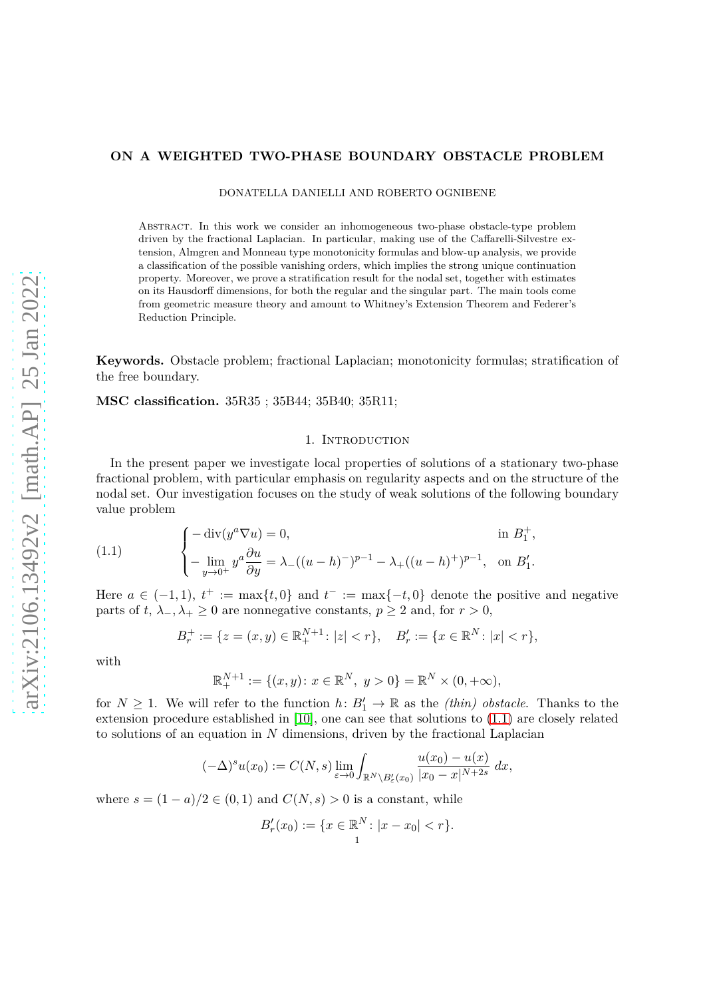# **ON A WEIGHTED TWO-PHASE BOUNDARY OBSTACLE PROBLEM**

DONATELLA DANIELLI AND ROBERTO OGNIBENE

Abstract. In this work we consider an inhomogeneous two-phase obstacle-type problem driven by the fractional Laplacian. In particular, making use of the Caffarelli-Silvestre extension, Almgren and Monneau type monotonicity formulas and blow-up analysis, we provide a classification of the possible vanishing orders, which implies the strong unique continuation property. Moreover, we prove a stratification result for the nodal set, together with estimates on its Hausdorff dimensions, for both the regular and the singular part. The main tools come from geometric measure theory and amount to Whitney's Extension Theorem and Federer's Reduction Principle.

**Keywords.** Obstacle problem; fractional Laplacian; monotonicity formulas; stratification of the free boundary.

**MSC classification.** 35R35 ; 35B44; 35B40; 35R11;

# 1. INTRODUCTION

In the present paper we investigate local properties of solutions of a stationary two-phase fractional problem, with particular emphasis on regularity aspects and on the structure of the nodal set. Our investigation focuses on the study of weak solutions of the following boundary value problem

<span id="page-0-0"></span>(1.1) 
$$
\begin{cases}\n-\text{div}(y^a \nabla u) = 0, & \text{in } B_1^+, \\
-\lim_{y \to 0^+} y^a \frac{\partial u}{\partial y} = \lambda_- ((u - h)^-)^{p-1} - \lambda_+ ((u - h)^+)^{p-1}, & \text{on } B_1'.\n\end{cases}
$$

Here  $a \in (-1,1)$ ,  $t^+ := \max\{t,0\}$  and  $t^- := \max\{-t,0\}$  denote the positive and negative parts of *t*,  $\lambda_-, \lambda_+ \geq 0$  are nonnegative constants,  $p \geq 2$  and, for  $r > 0$ ,

$$
B_r^+ := \{ z = (x, y) \in \mathbb{R}_+^{N+1} : |z| < r \}, \quad B_r' := \{ x \in \mathbb{R}^N : |x| < r \},
$$

with

$$
\mathbb{R}_+^{N+1} := \{(x, y) : x \in \mathbb{R}^N, y > 0\} = \mathbb{R}^N \times (0, +\infty),
$$

for  $N \geq 1$ . We will refer to the function  $h: B'_1 \to \mathbb{R}$  as the *(thin) obstacle*. Thanks to the extension procedure established in [\[10\]](#page-29-0), one can see that solutions to [\(1.1\)](#page-0-0) are closely related to solutions of an equation in *N* dimensions, driven by the fractional Laplacian

$$
(-\Delta)^s u(x_0) := C(N,s) \lim_{\varepsilon \to 0} \int_{\mathbb{R}^N \setminus B_{\varepsilon}'(x_0)} \frac{u(x_0) - u(x)}{|x_0 - x|^{N+2s}} dx,
$$

where  $s = (1 - a)/2 \in (0, 1)$  and  $C(N, s) > 0$  is a constant, while

$$
B'_r(x_0) := \{ x \in \mathbb{R}^N \colon |x - x_0| < r \}.
$$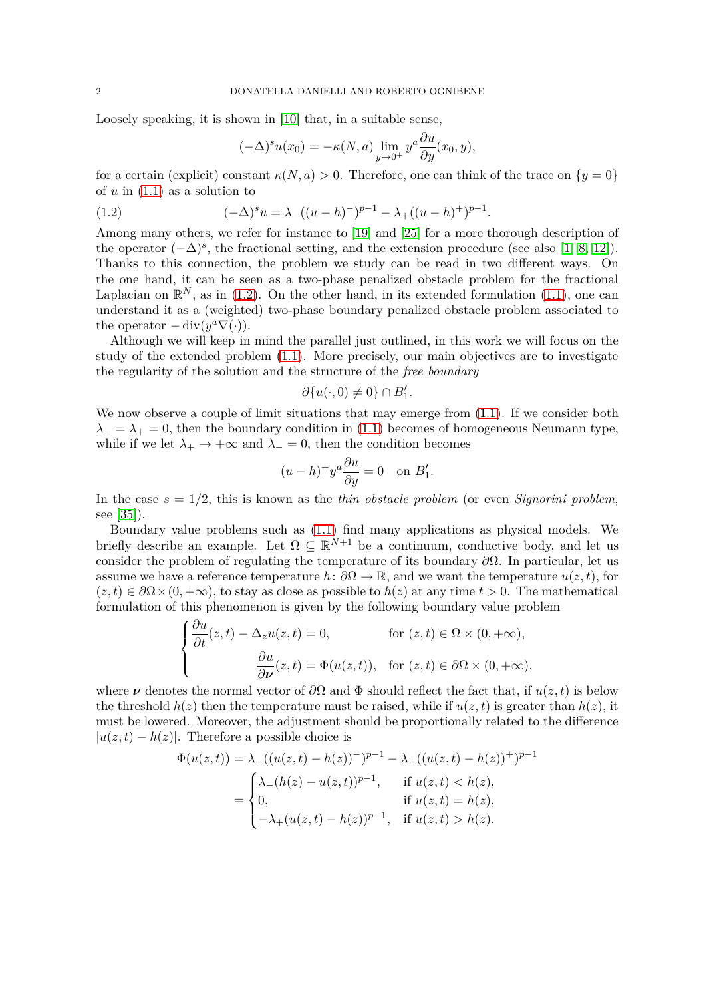Loosely speaking, it is shown in [\[10\]](#page-29-0) that, in a suitable sense,

<span id="page-1-0"></span>
$$
(-\Delta)^s u(x_0) = -\kappa(N, a) \lim_{y \to 0^+} y^a \frac{\partial u}{\partial y}(x_0, y),
$$

for a certain (explicit) constant  $\kappa(N, a) > 0$ . Therefore, one can think of the trace on  $\{y = 0\}$ of *u* in [\(1.1\)](#page-0-0) as a solution to

(1.2) 
$$
(-\Delta)^s u = \lambda_-((u-h)^-)^{p-1} - \lambda_+((u-h)^+)^{p-1}.
$$

Among many others, we refer for instance to [\[19\]](#page-29-1) and [\[25\]](#page-29-2) for a more thorough description of the operator  $(-\Delta)^s$ , the fractional setting, and the extension procedure (see also [\[1,](#page-28-0) [8,](#page-29-3) [12\]](#page-29-4)). Thanks to this connection, the problem we study can be read in two different ways. On the one hand, it can be seen as a two-phase penalized obstacle problem for the fractional Laplacian on  $\mathbb{R}^N$ , as in [\(1.2\)](#page-1-0). On the other hand, in its extended formulation [\(1.1\)](#page-0-0), one can understand it as a (weighted) two-phase boundary penalized obstacle problem associated to the operator  $-\operatorname{div}(y^a \nabla(\cdot)).$ 

Although we will keep in mind the parallel just outlined, in this work we will focus on the study of the extended problem [\(1.1\)](#page-0-0). More precisely, our main objectives are to investigate the regularity of the solution and the structure of the *free boundary*

$$
\partial \{u(\cdot,0)\neq 0\}\cap B'_1.
$$

We now observe a couple of limit situations that may emerge from  $(1.1)$ . If we consider both  $\lambda$ <sup>−</sup> =  $\lambda$ <sup>+</sup> = 0, then the boundary condition in [\(1.1\)](#page-0-0) becomes of homogeneous Neumann type, while if we let  $\lambda_+ \to +\infty$  and  $\lambda_-=0$ , then the condition becomes

$$
(u-h)^+ y^a \frac{\partial u}{\partial y} = 0 \quad \text{on } B_1'.
$$

In the case  $s = 1/2$ , this is known as the *thin obstacle problem* (or even *Signorini problem*, see [\[35\]](#page-30-0)).

Boundary value problems such as [\(1.1\)](#page-0-0) find many applications as physical models. We briefly describe an example. Let  $\Omega \subseteq \mathbb{R}^{N+1}$  be a continuum, conductive body, and let us consider the problem of regulating the temperature of its boundary *∂*Ω. In particular, let us assume we have a reference temperature  $h: \partial\Omega \to \mathbb{R}$ , and we want the temperature  $u(z, t)$ , for  $(z, t) \in \partial\Omega \times (0, +\infty)$ , to stay as close as possible to  $h(z)$  at any time  $t > 0$ . The mathematical formulation of this phenomenon is given by the following boundary value problem

$$
\begin{cases} \frac{\partial u}{\partial t}(z,t) - \Delta_z u(z,t) = 0, & \text{for } (z,t) \in \Omega \times (0, +\infty), \\ \frac{\partial u}{\partial \nu}(z,t) = \Phi(u(z,t)), & \text{for } (z,t) \in \partial\Omega \times (0, +\infty), \end{cases}
$$

where  $\nu$  denotes the normal vector of  $\partial\Omega$  and  $\Phi$  should reflect the fact that, if  $u(z, t)$  is below the threshold  $h(z)$  then the temperature must be raised, while if  $u(z, t)$  is greater than  $h(z)$ , it must be lowered. Moreover, the adjustment should be proportionally related to the difference  $|u(z,t) - h(z)|$ . Therefore a possible choice is

$$
\Phi(u(z,t)) = \lambda_{-}((u(z,t) - h(z))^{-})^{p-1} - \lambda_{+}((u(z,t) - h(z))^{+})^{p-1}
$$

$$
= \begin{cases} \lambda_{-}(h(z) - u(z,t))^{p-1}, & \text{if } u(z,t) < h(z), \\ 0, & \text{if } u(z,t) = h(z), \\ -\lambda_{+}(u(z,t) - h(z))^{p-1}, & \text{if } u(z,t) > h(z). \end{cases}
$$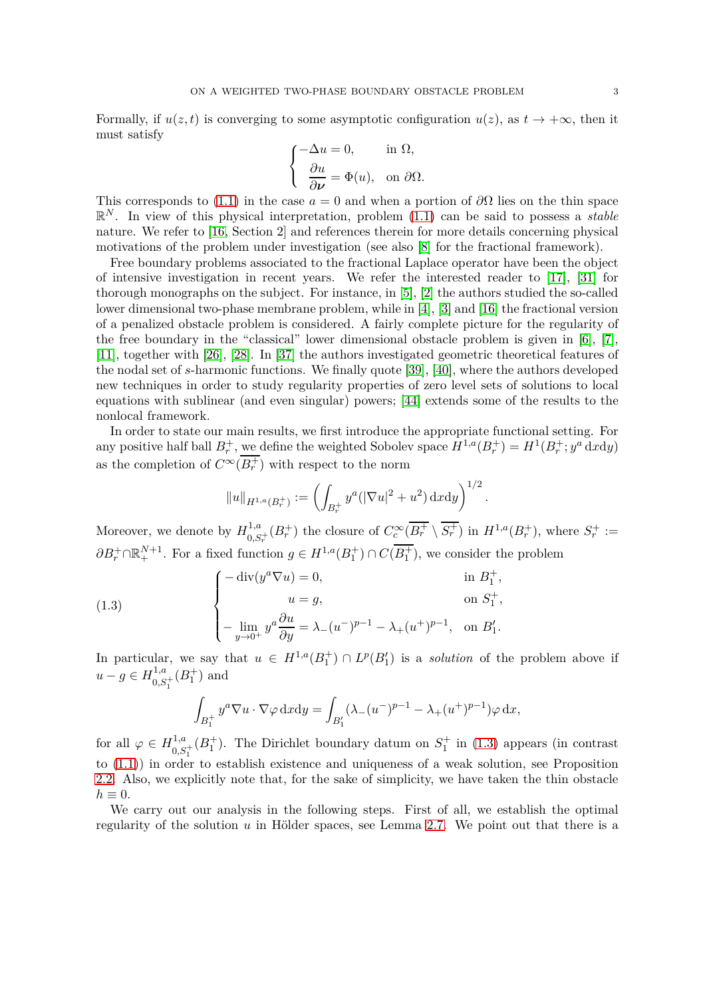Formally, if  $u(z, t)$  is converging to some asymptotic configuration  $u(z)$ , as  $t \to +\infty$ , then it must satisfy

$$
\begin{cases}\n-\Delta u = 0, & \text{in } \Omega, \\
\frac{\partial u}{\partial \nu} = \Phi(u), & \text{on } \partial \Omega.\n\end{cases}
$$

This corresponds to [\(1.1\)](#page-0-0) in the case  $a = 0$  and when a portion of  $\partial\Omega$  lies on the thin space R *<sup>N</sup>* . In view of this physical interpretation, problem [\(1.1\)](#page-0-0) can be said to possess a *stable* nature. We refer to [\[16,](#page-29-5) Section 2] and references therein for more details concerning physical motivations of the problem under investigation (see also [\[8\]](#page-29-3) for the fractional framework).

Free boundary problems associated to the fractional Laplace operator have been the object of intensive investigation in recent years. We refer the interested reader to [\[17\]](#page-29-6), [\[31\]](#page-29-7) for thorough monographs on the subject. For instance, in [\[5\]](#page-28-1), [\[2\]](#page-28-2) the authors studied the so-called lower dimensional two-phase membrane problem, while in [\[4\]](#page-28-3), [\[3\]](#page-28-4) and [\[16\]](#page-29-5) the fractional version of a penalized obstacle problem is considered. A fairly complete picture for the regularity of the free boundary in the "classical" lower dimensional obstacle problem is given in [\[6\]](#page-28-5), [\[7\]](#page-29-8), [\[11\]](#page-29-9), together with [\[26\]](#page-29-10), [\[28\]](#page-29-11). In [\[37\]](#page-30-1) the authors investigated geometric theoretical features of the nodal set of *s*-harmonic functions. We finally quote [\[39\]](#page-30-2), [\[40\]](#page-30-3), where the authors developed new techniques in order to study regularity properties of zero level sets of solutions to local equations with sublinear (and even singular) powers; [\[44\]](#page-30-4) extends some of the results to the nonlocal framework.

In order to state our main results, we first introduce the appropriate functional setting. For any positive half ball  $B_r^+$ , <u>we</u> define the weighted Sobolev space  $H^{1,a}(B_r^+) = H^1(B_r^+; y^a \text{ d}x \text{ d}y)$ as the completion of  $C^{\infty}(B_r^+)$  with respect to the norm

$$
||u||_{H^{1,a}(B_r^+)} := \left(\int_{B_r^+} y^a (|\nabla u|^2 + u^2) \,dx\mathrm{d}y\right)^{1/2}
$$

*.*

Moreover, we denote by  $H_0^{1,a}$  $\frac{1,a}{0,S_r^+}(B_r^+)$  the closure of  $C_c^{\infty}(\overline{B_r^+} \setminus \overline{S_r^+})$  in  $H^{1,a}(B_r^+)$ , where  $S_r^+ :=$  $\partial B_r^+ \cap \mathbb{R}^{N+1}_+$ . For a fixed function  $g \in H^{1,a}(B_1^+) \cap C(B_1^+)$ , we consider the problem

(1.3) 
$$
\begin{cases}\n-\text{div}(y^{a}\nabla u) = 0, & \text{in } B_{1}^{+}, \\
u = g, & \text{on } S_{1}^{+}, \\
-\lim_{y \to 0^{+}} y^{a} \frac{\partial u}{\partial y} = \lambda_{-}(u^{-})^{p-1} - \lambda_{+}(u^{+})^{p-1}, & \text{on } B_{1}'.\n\end{cases}
$$

In particular, we say that  $u \in H^{1,a}(B_1^+) \cap L^p(B_1')$  is a *solution* of the problem above if  $u - g \in H^{1,a}_{0,S}$  $^{1,a}_{0,S_1^+}(B_1^+)$  and

<span id="page-2-0"></span>
$$
\int_{B_1^+} y^a \nabla u \cdot \nabla \varphi \, \mathrm{d}x \mathrm{d}y = \int_{B_1'} (\lambda_-(u^-)^{p-1} - \lambda_+(u^+)^{p-1}) \varphi \, \mathrm{d}x,
$$

for all  $\varphi \in H_{0,S_1^+}^{1,a}(B_1^+)$ . The Dirichlet boundary datum on  $S_1^+$  in [\(1.3\)](#page-2-0) appears (in contrast to [\(1.1\)](#page-0-0)) in order to establish existence and uniqueness of a weak solution, see Proposition [2.2.](#page-7-0) Also, we explicitly note that, for the sake of simplicity, we have taken the thin obstacle  $h \equiv 0$ .

We carry out our analysis in the following steps. First of all, we establish the optimal regularity of the solution  $u$  in Hölder spaces, see Lemma [2.7.](#page-8-0) We point out that there is a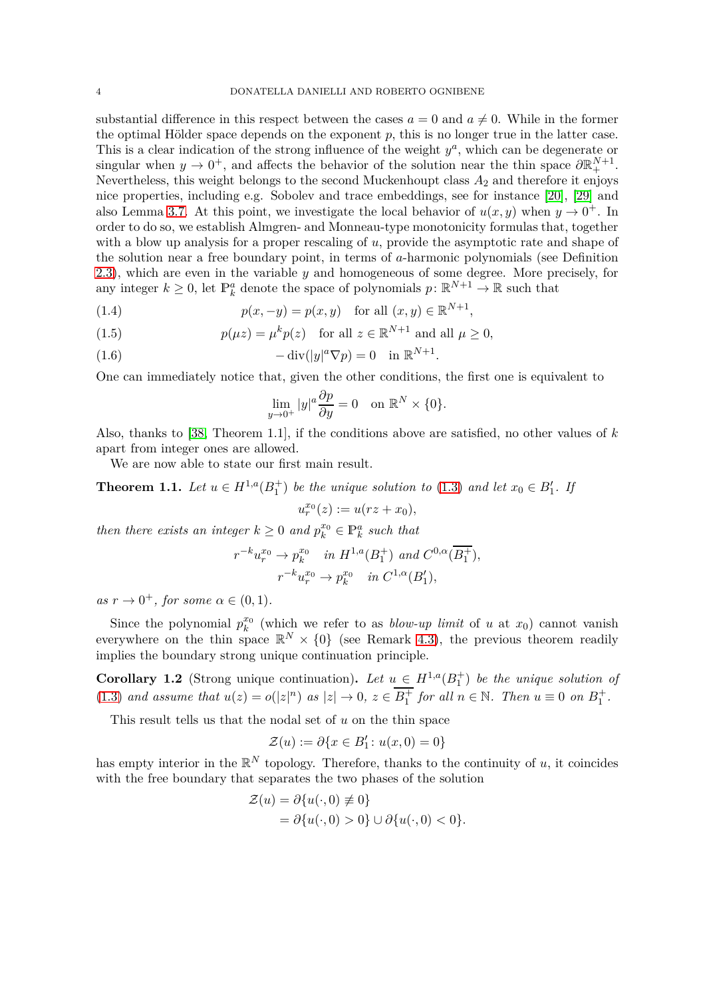substantial difference in this respect between the cases  $a = 0$  and  $a \neq 0$ . While in the former the optimal Hölder space depends on the exponent  $p$ , this is no longer true in the latter case. This is a clear indication of the strong influence of the weight  $y^a$ , which can be degenerate or singular when  $y \to 0^+$ , and affects the behavior of the solution near the thin space  $\partial \mathbb{R}^{N+1}_+$ . Nevertheless, this weight belongs to the second Muckenhoupt class  $A_2$  and therefore it enjoys nice properties, including e.g. Sobolev and trace embeddings, see for instance [\[20\]](#page-29-12), [\[29\]](#page-29-13) and also Lemma [3.7.](#page-14-0) At this point, we investigate the local behavior of  $u(x, y)$  when  $y \to 0^+$ . In order to do so, we establish Almgren- and Monneau-type monotonicity formulas that, together with a blow up analysis for a proper rescaling of *u*, provide the asymptotic rate and shape of the solution near a free boundary point, in terms of *a*-harmonic polynomials (see Definition [2.3\)](#page-7-1), which are even in the variable *y* and homogeneous of some degree. More precisely, for any integer  $k \geq 0$ , let  $\mathbb{P}_k^a$  denote the space of polynomials  $p: \mathbb{R}^{N+1} \to \mathbb{R}$  such that

<span id="page-3-3"></span>(1.4) 
$$
p(x, -y) = p(x, y) \text{ for all } (x, y) \in \mathbb{R}^{N+1},
$$

<span id="page-3-2"></span>(1.5) 
$$
p(\mu z) = \mu^k p(z) \quad \text{for all } z \in \mathbb{R}^{N+1} \text{ and all } \mu \ge 0,
$$

<span id="page-3-1"></span>(1.6) 
$$
-\operatorname{div}(|y|^a \nabla p) = 0 \quad \text{in } \mathbb{R}^{N+1}.
$$

One can immediately notice that, given the other conditions, the first one is equivalent to

$$
\lim_{y \to 0^+} |y|^a \frac{\partial p}{\partial y} = 0 \quad \text{on } \mathbb{R}^N \times \{0\}.
$$

Also, thanks to [\[38,](#page-30-5) Theorem 1.1], if the conditions above are satisfied, no other values of *k* apart from integer ones are allowed.

We are now able to state our first main result.

<span id="page-3-0"></span>**Theorem 1.1.** *Let*  $u \in H^{1,a}(B_1^+)$  *be the unique solution to* [\(1.3\)](#page-2-0) *and let*  $x_0 \in B'_1$ *. If*  $u_r^{x_0}(z) := u(rz + x_0),$ 

*then there exists an integer*  $k \geq 0$  *and*  $p_k^{x_0} \in \mathbb{P}_k^a$  *such that* 

$$
r^{-k}u_r^{x_0} \to p_k^{x_0} \quad in \ H^{1,a}(B_1^+) \ and \ C^{0,\alpha}(\overline{B_1^+}),
$$
  

$$
r^{-k}u_r^{x_0} \to p_k^{x_0} \quad in \ C^{1,\alpha}(B_1'),
$$

 $as r \rightarrow 0^+$ *, for some*  $\alpha \in (0,1)$ *.* 

Since the polynomial  $p_k^{x_0}$  $\binom{x_0}{k}$  (which we refer to as *blow-up limit* of *u* at  $x_0$ ) cannot vanish everywhere on the thin space  $\mathbb{R}^N \times \{0\}$  (see Remark [4.3\)](#page-23-0), the previous theorem readily implies the boundary strong unique continuation principle.

**Corollary 1.2** (Strong unique continuation). Let  $u \in H^{1,a}(B_1^+)$  be the unique solution of [\(1.3\)](#page-2-0) and assume that  $u(z) = o(|z|^n)$  as  $|z| \to 0$ ,  $z \in \overline{B_1^+}$  for all  $n \in \mathbb{N}$ . Then  $u \equiv 0$  on  $B_1^+$ .

This result tells us that the nodal set of *u* on the thin space

$$
\mathcal{Z}(u) := \partial \{x \in B'_1 \colon u(x,0) = 0\}
$$

has empty interior in the  $\mathbb{R}^N$  topology. Therefore, thanks to the continuity of *u*, it coincides with the free boundary that separates the two phases of the solution

$$
\mathcal{Z}(u) = \partial \{u(\cdot, 0) \neq 0\}
$$
  
=  $\partial \{u(\cdot, 0) > 0\} \cup \partial \{u(\cdot, 0) < 0\}.$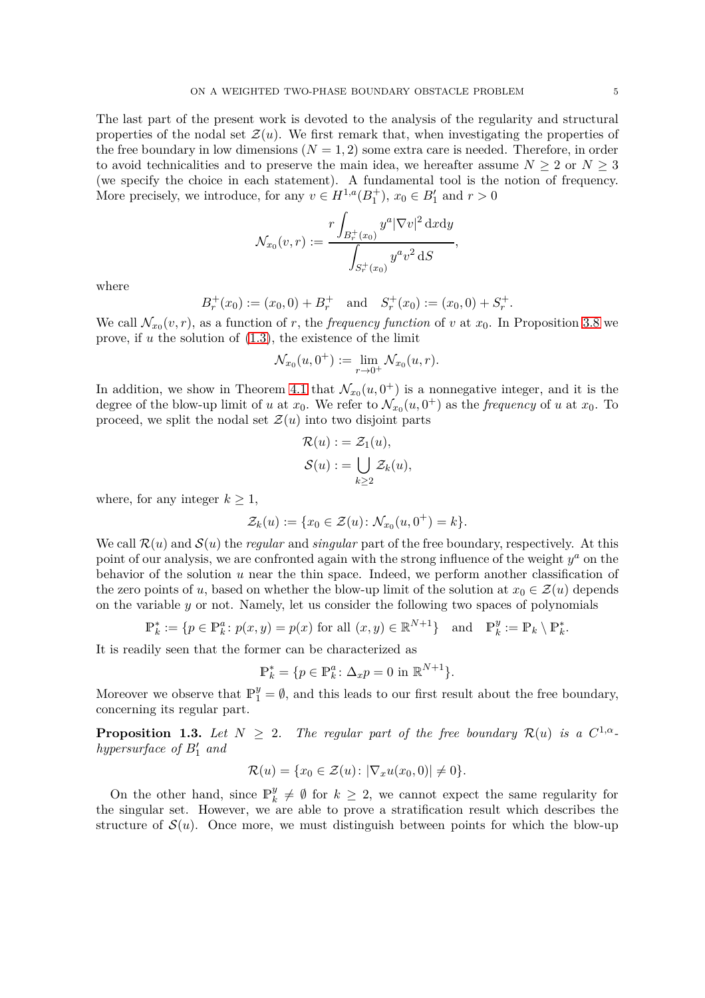properties of the nodal set  $\mathcal{Z}(u)$ . We first remark that, when investigating the properties of the free boundary in low dimensions  $(N = 1, 2)$  some extra care is needed. Therefore, in order to avoid technicalities and to preserve the main idea, we hereafter assume  $N \geq 2$  or  $N \geq 3$ (we specify the choice in each statement). A fundamental tool is the notion of frequency. More precisely, we introduce, for any  $v \in H^{1,a}(B_1^+)$ ,  $x_0 \in B'_1$  and  $r > 0$ 

$$
\mathcal{N}_{x_0}(v,r) := \frac{r \int_{B_r^+(x_0)} y^a |\nabla v|^2 \, \mathrm{d}x \mathrm{d}y}{\int_{S_r^+(x_0)} y^a v^2 \, \mathrm{d}S},
$$

where

$$
B_r^+(x_0) := (x_0, 0) + B_r^+
$$
 and  $S_r^+(x_0) := (x_0, 0) + S_r^+.$ 

We call  $\mathcal{N}_{x_0}(v, r)$ , as a function of *r*, the *frequency function* of *v* at  $x_0$ . In Proposition [3.8](#page-15-0) we prove, if *u* the solution of [\(1.3\)](#page-2-0), the existence of the limit

$$
\mathcal{N}_{x_0}(u,0^+):=\lim_{r\to 0^+}\mathcal{N}_{x_0}(u,r).
$$

In addition, we show in Theorem [4.1](#page-19-0) that  $\mathcal{N}_{x_0}(u, 0^+)$  is a nonnegative integer, and it is the degree of the blow-up limit of *u* at  $x_0$ . We refer to  $\mathcal{N}_{x_0}(u, 0^+)$  as the *frequency* of *u* at  $x_0$ . To proceed, we split the nodal set  $\mathcal{Z}(u)$  into two disjoint parts

$$
\mathcal{R}(u) := \mathcal{Z}_1(u), \n\mathcal{S}(u) := \bigcup_{k \ge 2} \mathcal{Z}_k(u),
$$

where, for any integer  $k \geq 1$ ,

$$
\mathcal{Z}_k(u) := \{ x_0 \in \mathcal{Z}(u) \colon \mathcal{N}_{x_0}(u, 0^+) = k \}.
$$

We call  $\mathcal{R}(u)$  and  $\mathcal{S}(u)$  the *regular* and *singular* part of the free boundary, respectively. At this point of our analysis, we are confronted again with the strong influence of the weight  $y^a$  on the behavior of the solution *u* near the thin space. Indeed, we perform another classification of the zero points of *u*, based on whether the blow-up limit of the solution at  $x_0 \in \mathcal{Z}(u)$  depends on the variable *y* or not. Namely, let us consider the following two spaces of polynomials

$$
\mathbb{P}_k^* := \{ p \in \mathbb{P}_k^a \colon p(x, y) = p(x) \text{ for all } (x, y) \in \mathbb{R}^{N+1} \} \text{ and } \mathbb{P}_k^y := \mathbb{P}_k \setminus \mathbb{P}_k^*.
$$

It is readily seen that the former can be characterized as

$$
\mathbb{P}_k^* = \{ p \in \mathbb{P}_k^a \colon \Delta_x p = 0 \text{ in } \mathbb{R}^{N+1} \}.
$$

Moreover we observe that  $\mathbb{P}_1^y = \emptyset$ , and this leads to our first result about the free boundary, concerning its regular part.

<span id="page-4-0"></span>**Proposition 1.3.** Let  $N \geq 2$ . The regular part of the free boundary  $\mathcal{R}(u)$  is a  $C^{1,\alpha}$ *hypersurface of B*′ <sup>1</sup> *and*

$$
\mathcal{R}(u) = \{x_0 \in \mathcal{Z}(u) \colon |\nabla_x u(x_0, 0)| \neq 0\}.
$$

On the other hand, since  $\mathbb{P}_k^y$  $\frac{y}{k} \neq \emptyset$  for  $k \geq 2$ , we cannot expect the same regularity for the singular set. However, we are able to prove a stratification result which describes the structure of  $S(u)$ . Once more, we must distinguish between points for which the blow-up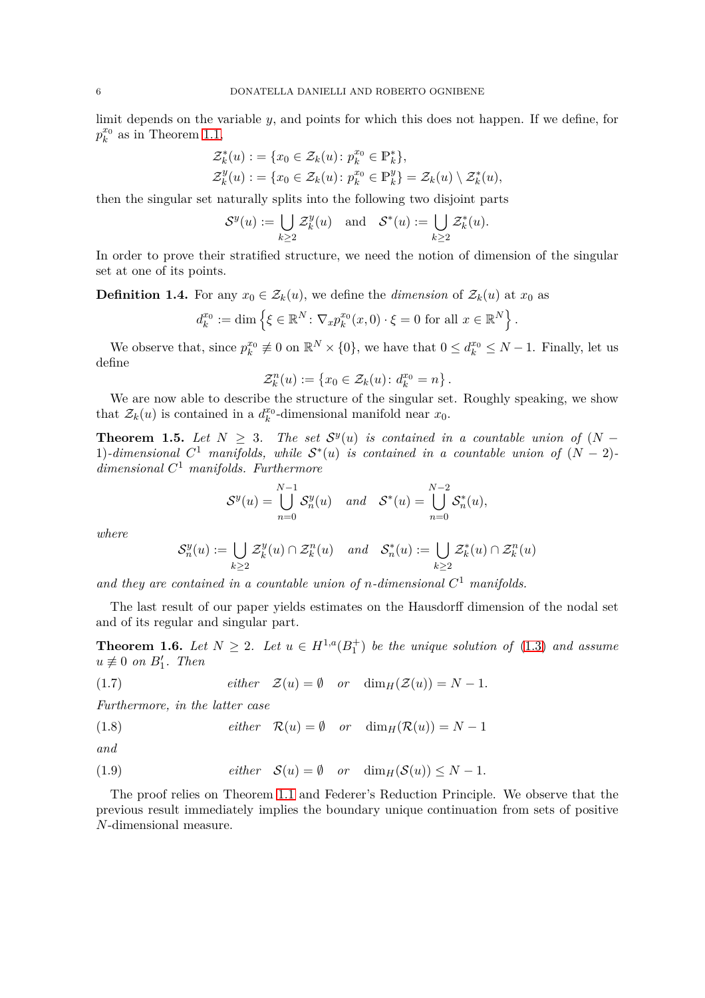limit depends on the variable *y*, and points for which this does not happen. If we define, for  $p_k^{x_0}$  $\frac{x_0}{k}$  as in Theorem [1.1,](#page-3-0)

$$
\mathcal{Z}_k^*(u) := \{x_0 \in \mathcal{Z}_k(u) : p_k^{x_0} \in \mathbb{P}_k^*\},
$$
  

$$
\mathcal{Z}_k^y(u) := \{x_0 \in \mathcal{Z}_k(u) : p_k^{x_0} \in \mathbb{P}_k^y\} = \mathcal{Z}_k(u) \setminus \mathcal{Z}_k^*(u),
$$

then the singular set naturally splits into the following two disjoint parts

$$
\mathcal{S}^y(u) := \bigcup_{k \ge 2} \mathcal{Z}_k^y(u) \quad \text{and} \quad \mathcal{S}^*(u) := \bigcup_{k \ge 2} \mathcal{Z}_k^*(u).
$$

In order to prove their stratified structure, we need the notion of dimension of the singular set at one of its points.

**Definition 1.4.** For any  $x_0 \in \mathcal{Z}_k(u)$ , we define the *dimension* of  $\mathcal{Z}_k(u)$  at  $x_0$  as

$$
d_k^{x_0} := \dim \left\{ \xi \in \mathbb{R}^N \colon \nabla_x p_k^{x_0}(x,0) \cdot \xi = 0 \text{ for all } x \in \mathbb{R}^N \right\}.
$$

We observe that, since  $p_k^{x_0}$  $\mathbf{z}_k^{x_0} \neq 0$  on  $\mathbb{R}^N \times \{0\}$ , we have that  $0 \leq d_k^{x_0} \leq N - 1$ . Finally, let us define

$$
\mathcal{Z}_k^n(u) := \{ x_0 \in \mathcal{Z}_k(u) \colon d_k^{x_0} = n \}.
$$

We are now able to describe the structure of the singular set. Roughly speaking, we show that  $\mathcal{Z}_k(u)$  is contained in a  $d_k^{x_0}$  $\frac{x_0}{k}$ -dimensional manifold near  $x_0$ .

<span id="page-5-0"></span>**Theorem 1.5.** *Let*  $N \geq 3$ . *The set*  $S<sup>y</sup>(u)$  *is contained in a countable union of*  $(N - 1)$ 1)*-dimensional*  $C^1$  *manifolds, while*  $S^*(u)$  *is contained in a countable union of*  $(N-2)$ *dimensional C* <sup>1</sup> *manifolds. Furthermore*

$$
\mathcal{S}^y(u) = \bigcup_{n=0}^{N-1} \mathcal{S}_n^y(u) \quad and \quad \mathcal{S}^*(u) = \bigcup_{n=0}^{N-2} \mathcal{S}_n^*(u),
$$

*where*

$$
\mathcal{S}_n^y(u) := \bigcup_{k \ge 2} \mathcal{Z}_k^y(u) \cap \mathcal{Z}_k^n(u) \quad and \quad \mathcal{S}_n^*(u) := \bigcup_{k \ge 2} \mathcal{Z}_k^*(u) \cap \mathcal{Z}_k^n(u)
$$

*and they are contained in a countable union of n-dimensional C* <sup>1</sup> *manifolds.*

The last result of our paper yields estimates on the Hausdorff dimension of the nodal set and of its regular and singular part.

<span id="page-5-1"></span>**Theorem 1.6.** Let  $N \geq 2$ . Let  $u \in H^{1,a}(B_1^+)$  be the unique solution of [\(1.3\)](#page-2-0) and assume  $u \not\equiv 0$  *on*  $B'_1$ *. Then* 

<span id="page-5-2"></span>(1.7) *either* 
$$
\mathcal{Z}(u) = \emptyset
$$
 *or*  $\dim_H(\mathcal{Z}(u)) = N - 1$ .

*Furthermore, in the latter case*

<span id="page-5-3"></span>(1.8) 
$$
either \quad \mathcal{R}(u) = \emptyset \quad or \quad \dim_H(\mathcal{R}(u)) = N - 1
$$

*and*

<span id="page-5-4"></span>(1.9) *either* 
$$
S(u) = \emptyset
$$
 *or*  $\dim_H(S(u)) \leq N - 1$ .

The proof relies on Theorem [1.1](#page-3-0) and Federer's Reduction Principle. We observe that the previous result immediately implies the boundary unique continuation from sets of positive *N*-dimensional measure.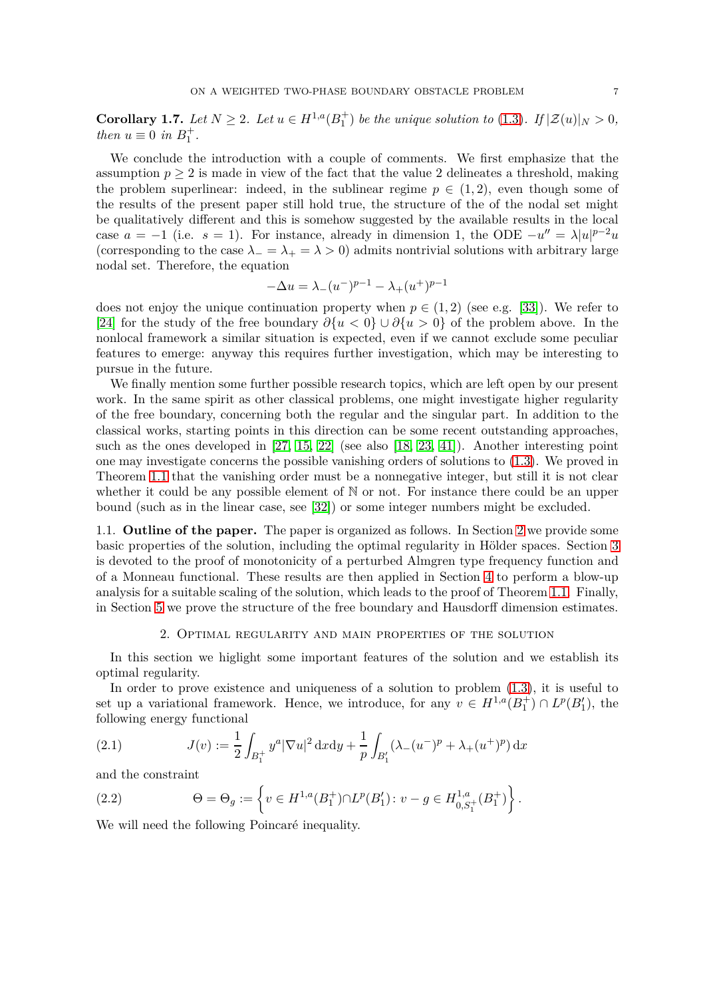**Corollary 1.7.** Let  $N \geq 2$ *. Let*  $u \in H^{1,a}(B_1^+)$  be the unique solution to [\(1.3\)](#page-2-0). If  $|\mathcal{Z}(u)|_N > 0$ , *then*  $u \equiv 0$  *in*  $B_1^+$ .

We conclude the introduction with a couple of comments. We first emphasize that the assumption  $p \geq 2$  is made in view of the fact that the value 2 delineates a threshold, making the problem superlinear: indeed, in the sublinear regime  $p \in (1,2)$ , even though some of the results of the present paper still hold true, the structure of the of the nodal set might be qualitatively different and this is somehow suggested by the available results in the local case  $a = -1$  (i.e.  $s = 1$ ). For instance, already in dimension 1, the ODE  $-u'' = \lambda |u|^{p-2}u$ (corresponding to the case  $\lambda$ <sub>−</sub> =  $\lambda$  > 0) admits nontrivial solutions with arbitrary large nodal set. Therefore, the equation

$$
-\Delta u = \lambda_{-}(u^{-})^{p-1} - \lambda_{+}(u^{+})^{p-1}
$$

does not enjoy the unique continuation property when  $p \in (1,2)$  (see e.g. [\[33\]](#page-30-6)). We refer to [\[24\]](#page-29-14) for the study of the free boundary *∂*{*u <* 0} ∪ *∂*{*u >* 0} of the problem above. In the nonlocal framework a similar situation is expected, even if we cannot exclude some peculiar features to emerge: anyway this requires further investigation, which may be interesting to pursue in the future.

We finally mention some further possible research topics, which are left open by our present work. In the same spirit as other classical problems, one might investigate higher regularity of the free boundary, concerning both the regular and the singular part. In addition to the classical works, starting points in this direction can be some recent outstanding approaches, such as the ones developed in [\[27,](#page-29-15) [15,](#page-29-16) [22\]](#page-29-17) (see also [\[18,](#page-29-18) [23,](#page-29-19) [41\]](#page-30-7)). Another interesting point one may investigate concerns the possible vanishing orders of solutions to [\(1.3\)](#page-2-0). We proved in Theorem [1.1](#page-3-0) that the vanishing order must be a nonnegative integer, but still it is not clear whether it could be any possible element of  $\mathbb N$  or not. For instance there could be an upper bound (such as in the linear case, see [\[32\]](#page-29-20)) or some integer numbers might be excluded.

1.1. **Outline of the paper.** The paper is organized as follows. In Section [2](#page-6-0) we provide some basic properties of the solution, including the optimal regularity in Hölder spaces. Section [3](#page-11-0) is devoted to the proof of monotonicity of a perturbed Almgren type frequency function and of a Monneau functional. These results are then applied in Section [4](#page-19-1) to perform a blow-up analysis for a suitable scaling of the solution, which leads to the proof of Theorem [1.1.](#page-3-0) Finally, in Section [5](#page-25-0) we prove the structure of the free boundary and Hausdorff dimension estimates.

#### 2. Optimal regularity and main properties of the solution

<span id="page-6-0"></span>In this section we higlight some important features of the solution and we establish its optimal regularity.

In order to prove existence and uniqueness of a solution to problem [\(1.3\)](#page-2-0), it is useful to set up a variational framework. Hence, we introduce, for any  $v \in H^{1,a}(B_1^+) \cap L^p(B_1')$ , the following energy functional

<span id="page-6-1"></span>(2.1) 
$$
J(v) := \frac{1}{2} \int_{B_1^+} y^a |\nabla u|^2 \, \mathrm{d}x \mathrm{d}y + \frac{1}{p} \int_{B_1'} (\lambda_-(u^-)^p + \lambda_+(u^+)^p) \, \mathrm{d}x
$$

and the constraint

<span id="page-6-2"></span>(2.2) 
$$
\Theta = \Theta_g := \left\{ v \in H^{1,a}(B_1^+) \cap L^p(B_1') : v - g \in H^{1,a}_{0,S_1^+}(B_1^+) \right\}.
$$

We will need the following Poincaré inequality.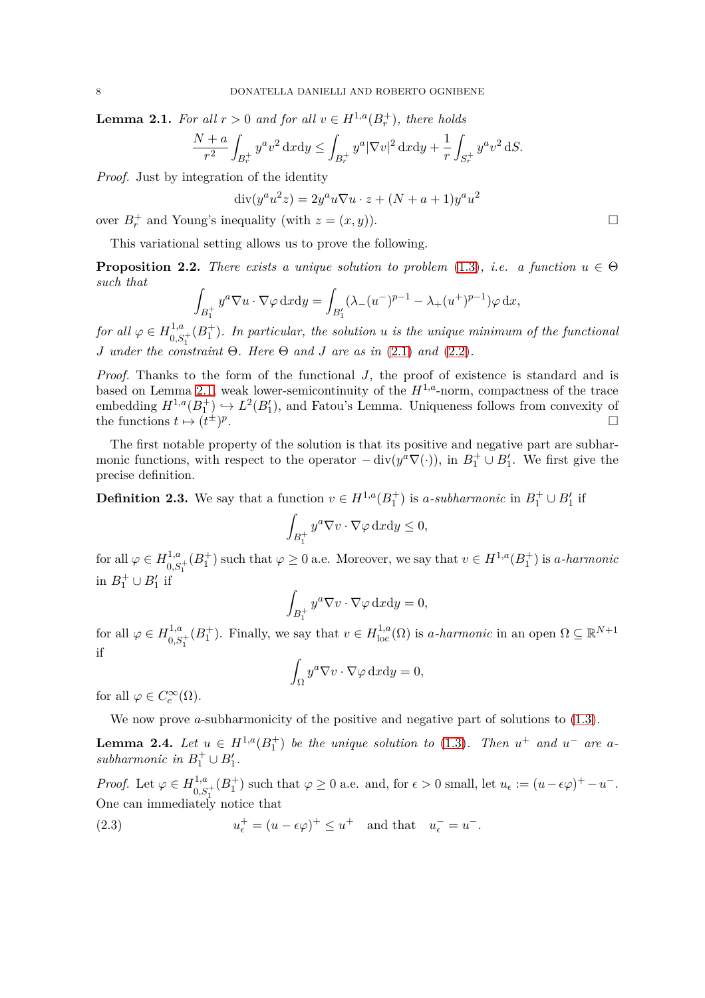<span id="page-7-2"></span>**Lemma 2.1.** *For all*  $r > 0$  *and for all*  $v \in H^{1,a}(B_r^+)$ *, there holds* 

$$
\frac{N+a}{r^2} \int_{B_r^+} y^a v^2 \, \mathrm{d}x \mathrm{d}y \le \int_{B_r^+} y^a |\nabla v|^2 \, \mathrm{d}x \mathrm{d}y + \frac{1}{r} \int_{S_r^+} y^a v^2 \, \mathrm{d}S.
$$

*Proof.* Just by integration of the identity

$$
\operatorname{div}(y^a u^2 z) = 2y^a u \nabla u \cdot z + (N + a + 1)y^a u^2
$$

over  $B_r^+$  and Young's inequality (with  $z = (x, y)$ ).

This variational setting allows us to prove the following.

<span id="page-7-0"></span>**Proposition 2.2.** *There exists a unique solution to problem* [\(1.3\)](#page-2-0), *i.e.* a function  $u \in \Theta$ *such that*

$$
\int_{B_1^+} y^a \nabla u \cdot \nabla \varphi \, \mathrm{d}x \mathrm{d}y = \int_{B_1'} (\lambda_-(u^-)^{p-1} - \lambda_+(u^+)^{p-1}) \varphi \, \mathrm{d}x,
$$

*for all*  $\varphi \in H^{1,a}_{0,S}$  $\int_{0,S_1^+}^{1,a}(B_1^+)$ . In particular, the solution *u* is the unique minimum of the functional 1 *J under the constraint* Θ*. Here* Θ *and J are as in* [\(2.1\)](#page-6-1) *and* [\(2.2\)](#page-6-2)*.*

*Proof.* Thanks to the form of the functional *J*, the proof of existence is standard and is based on Lemma [2.1,](#page-7-2) weak lower-semicontinuity of the  $H^{1,a}$ -norm, compactness of the trace embedding  $H^{1,a}(B_1^+) \hookrightarrow L^2(B_1')$ , and Fatou's Lemma. Uniqueness follows from convexity of the functions  $t \mapsto (t^{\pm})^p$ .

The first notable property of the solution is that its positive and negative part are subharmonic functions, with respect to the operator  $-\text{div}(y^a \nabla(\cdot))$ , in  $B_1^+ \cup B_1'$ . We first give the precise definition.

<span id="page-7-1"></span>**Definition 2.3.** We say that a function  $v \in H^{1,a}(B_1^+)$  is *a*-subharmonic in  $B_1^+ \cup B_1'$  if

$$
\int_{B_1^+} y^a \nabla v \cdot \nabla \varphi \, \mathrm{d}x \mathrm{d}y \le 0,
$$

for all  $\varphi \in H_{0,S_1^+}^{1,a}(B_1^+)$  such that  $\varphi \ge 0$  a.e. Moreover, we say that  $v \in H^{1,a}(B_1^+)$  is *a*-harmonic in  $B_1^+ \cup B_1'$  if

$$
\int_{B_1^+} y^a \nabla v \cdot \nabla \varphi \, \mathrm{d}x \mathrm{d}y = 0,
$$

for all  $\varphi \in H_{0,S_1^+}^{1,a}(B_1^+)$ . Finally, we say that  $v \in H_{loc}^{1,a}(\Omega)$  is *a-harmonic* in an open  $\Omega \subseteq \mathbb{R}^{N+1}$ if

$$
\int_{\Omega} y^a \nabla v \cdot \nabla \varphi \, \mathrm{d}x \mathrm{d}y = 0,
$$

for all  $\varphi \in C_c^{\infty}(\Omega)$ .

We now prove *a*-subharmonicity of the positive and negative part of solutions to  $(1.3)$ .

<span id="page-7-4"></span>**Lemma 2.4.** Let  $u \in H^{1,a}(B_1^+)$  be the unique solution to [\(1.3\)](#page-2-0). Then  $u^+$  and  $u^-$  are a*subharmonic in*  $B_1^+ \cup B_1'$ .

*Proof.* Let  $\varphi \in H_{0,S_1^+}^{1,a}(B_1^+)$  such that  $\varphi \ge 0$  a.e. and, for  $\epsilon > 0$  small, let  $u_{\epsilon} := (u - \epsilon \varphi)^+ - u^-$ . One can immediately notice that

<span id="page-7-3"></span>(2.3) 
$$
u_{\epsilon}^{+} = (u - \epsilon \varphi)^{+} \leq u^{+} \text{ and that } u_{\epsilon}^{-} = u^{-}.
$$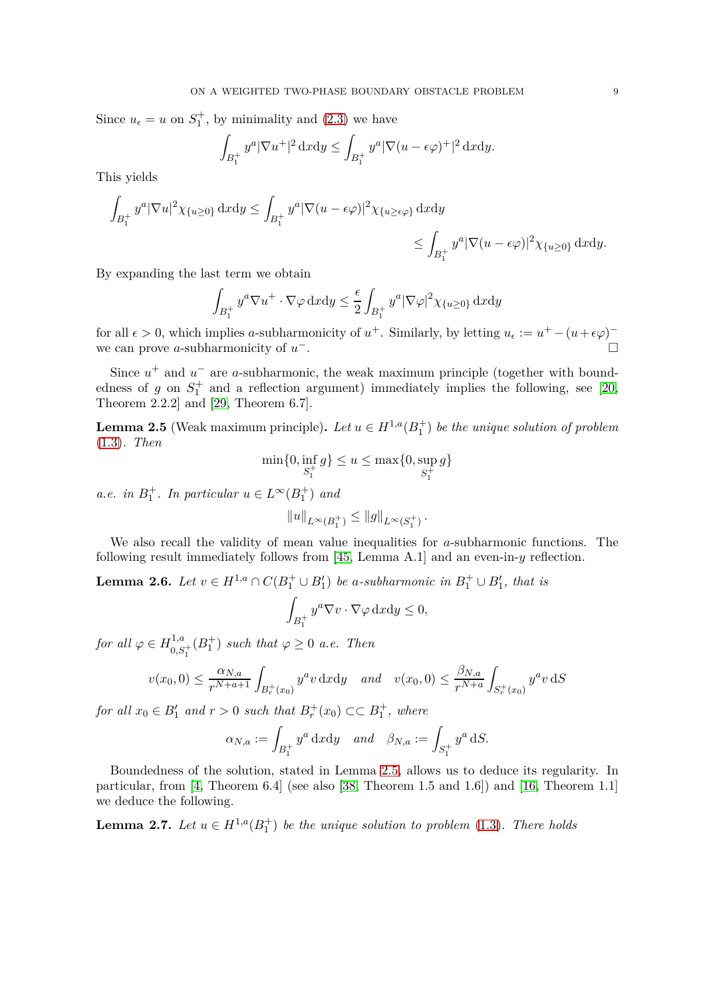Since  $u_{\epsilon} = u$  on  $S_1^+$ , by minimality and [\(2.3\)](#page-7-3) we have

$$
\int_{B_1^+} y^a |\nabla u^+|^2 \, \mathrm{d}x \mathrm{d}y \le \int_{B_1^+} y^a |\nabla (u - \epsilon \varphi)^+|^2 \, \mathrm{d}x \mathrm{d}y.
$$

This yields

$$
\int_{B_1^+} y^a |\nabla u|^2 \chi_{\{u \ge 0\}} \, \mathrm{d}x \mathrm{d}y \le \int_{B_1^+} y^a |\nabla (u - \epsilon \varphi)|^2 \chi_{\{u \ge \epsilon \varphi\}} \, \mathrm{d}x \mathrm{d}y
$$
\n
$$
\le \int_{B_1^+} y^a |\nabla (u - \epsilon \varphi)|^2 \chi_{\{u \ge 0\}} \, \mathrm{d}x \mathrm{d}y.
$$

By expanding the last term we obtain

$$
\int_{B_1^+} y^a \nabla u^+ \cdot \nabla \varphi \, \mathrm{d}x \mathrm{d}y \le \frac{\epsilon}{2} \int_{B_1^+} y^a |\nabla \varphi|^2 \chi_{\{u \ge 0\}} \, \mathrm{d}x \mathrm{d}y
$$

for all  $\epsilon > 0$ , which implies *a*-subharmonicity of  $u^+$ . Similarly, by letting  $u_{\epsilon} := u^+ - (u + \epsilon \varphi)^$ we can prove *a*-subharmonicity of *u* <sup>−</sup>.

Since  $u^+$  and  $u^-$  are *a*-subharmonic, the weak maximum principle (together with boundedness of  $g$  on  $S_1^+$  and a reflection argument) immediately implies the following, see [\[20,](#page-29-12) Theorem 2.2.2] and [\[29,](#page-29-13) Theorem 6.7].

<span id="page-8-1"></span>**Lemma 2.5** (Weak maximum principle). Let  $u \in H^{1,a}(B_1^+)$  be the unique solution of problem [\(1.3\)](#page-2-0)*. Then*

$$
\min\{0, \inf_{S_1^+} g\} \le u \le \max\{0, \sup_{S_1^+} g\}
$$

*a.e.* in  $B_1^+$ *. In particular*  $u \in L^\infty(B_1^+)$  *and* 

$$
||u||_{L^{\infty}(B_1^+)} \leq ||g||_{L^{\infty}(S_1^+)}.
$$

We also recall the validity of mean value inequalities for *a*-subharmonic functions. The following result immediately follows from [\[45,](#page-30-8) Lemma A.1] and an even-in-*y* reflection.

<span id="page-8-2"></span>**Lemma 2.6.** *Let*  $v \in H^{1,a} \cap C(B_1^+ \cup B_1')$  *be a-subharmonic in*  $B_1^+ \cup B_1'$ *, that is* 

$$
\int_{B_1^+} y^a \nabla v \cdot \nabla \varphi \, \mathrm{d}x \mathrm{d}y \le 0,
$$

 $for \ all \ \varphi \in H^{1,a}_{0,S_1^+}(B_1^+) \ such \ that \ \varphi \geq 0 \ \ a.e. \ Then$ 

$$
v(x_0, 0) \le \frac{\alpha_{N,a}}{r^{N+a+1}} \int_{B_r^+(x_0)} y^a v \, dx \, dy \quad \text{and} \quad v(x_0, 0) \le \frac{\beta_{N,a}}{r^{N+a}} \int_{S_r^+(x_0)} y^a v \, dS
$$

*for all*  $x_0 \in B'_1$  *and*  $r > 0$  *such that*  $B_r^+(x_0) \subset\subset B_1^+$ *, where* 

$$
\alpha_{N,a} := \int_{B_1^+} y^a \, \mathrm{d}x \mathrm{d}y \quad \text{and} \quad \beta_{N,a} := \int_{S_1^+} y^a \, \mathrm{d}S.
$$

Boundedness of the solution, stated in Lemma [2.5,](#page-8-1) allows us to deduce its regularity. In particular, from [\[4,](#page-28-3) Theorem 6.4] (see also [\[38,](#page-30-5) Theorem 1.5 and 1.6]) and [\[16,](#page-29-5) Theorem 1.1] we deduce the following.

<span id="page-8-0"></span>**Lemma 2.7.** Let  $u \in H^{1,a}(B_1^+)$  be the unique solution to problem [\(1.3\)](#page-2-0). There holds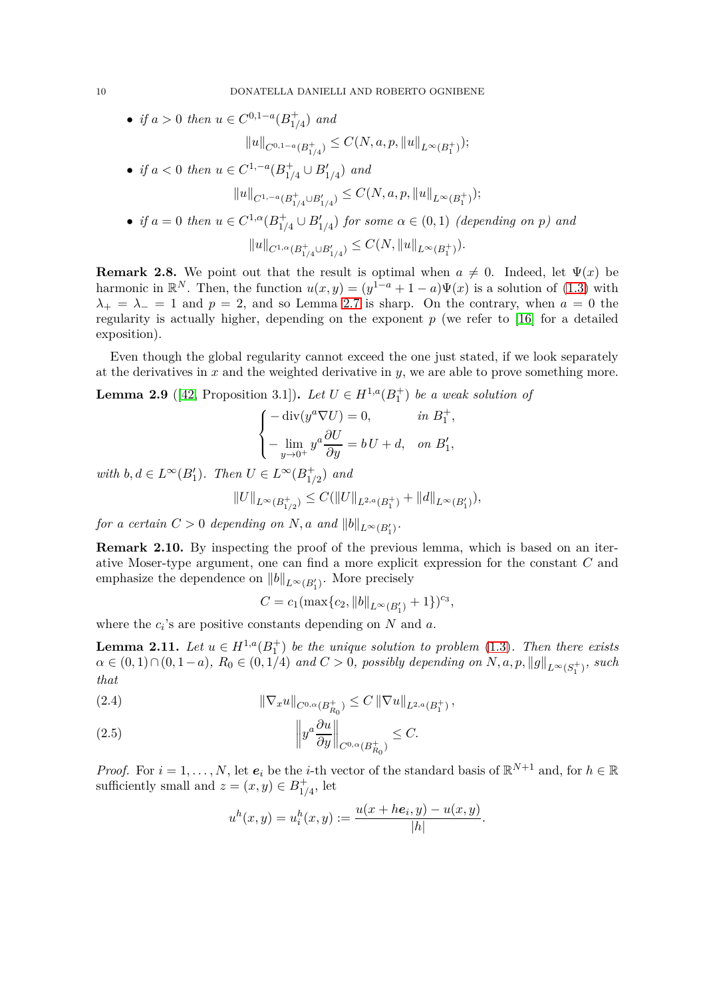• *if*  $a > 0$  *then*  $u \in C^{0,1-a}(B_{1/2}^+)$  $_{1/4}^{+}$ ) *and*  $||u||_{C^{0,1-a}(B_{1/4}^+)} \leq C(N, a, p, ||u||_{L^{\infty}(B_1^+)});$ • *if*  $a < 0$  then  $u \in C^{1,-a}(B_{1/})$ <sup>+</sup><sub>1/4</sub></sub> ∪ *B*<sup>'</sup><sub>1/4</sub></sub> $)$  *and*  $||u||_{C^{1,-a}(B_{1/4}^+\cup B_{1/4}')}\leq C(N,a,p,\|u\|_{L^\infty(B_1^+)});$ • *if*  $a = 0$  *then*  $u \in C^{1,\alpha}(B_{1/2}^+)$  $_{1/4}^+ \cup B'_{1/4}$  *for some*  $\alpha \in (0,1)$  *(depending on p)* and

$$
||u||_{C^{1,\alpha}(B_{1/4}^+\cup B_{1/4}')}\leq C(N, ||u||_{L^\infty(B_1^+)}).
$$

**Remark 2.8.** We point out that the result is optimal when  $a \neq 0$ . Indeed, let  $\Psi(x)$  be harmonic in  $\mathbb{R}^N$ . Then, the function  $u(x, y) = (y^{1-a} + 1 - a)\Psi(x)$  is a solution of [\(1.3\)](#page-2-0) with  $\lambda_+ = \lambda_- = 1$  and  $p = 2$ , and so Lemma [2.7](#page-8-0) is sharp. On the contrary, when  $a = 0$  the regularity is actually higher, depending on the exponent *p* (we refer to [\[16\]](#page-29-5) for a detailed exposition).

Even though the global regularity cannot exceed the one just stated, if we look separately at the derivatives in *x* and the weighted derivative in *y*, we are able to prove something more.

<span id="page-9-0"></span>**Lemma 2.9** ([\[42,](#page-30-9) Proposition 3.1]). Let  $U \in H^{1,a}(B_1^+)$  be a weak solution of

$$
\begin{cases}\n-\operatorname{div}(y^a \nabla U) = 0, & \text{in } B_1^+, \\
-\lim_{y \to 0^+} y^a \frac{\partial U}{\partial y} = bU + d, & \text{on } B_1',\n\end{cases}
$$

 $with \, b, d \in L^{\infty}(B_1')$ *. Then*  $U \in L^{\infty}(B_{1/}^+)$ 1*/*2 ) *and*

$$
||U||_{L^{\infty}(B^{+}_{1/2})}\leq C(||U||_{L^{2,a}(B^{+}_{1})}+||d||_{L^{\infty}(B^{\prime}_{1})}),
$$

*for a certain*  $C > 0$  *depending on*  $N$ *, a and*  $||b||_{L^{\infty}(B'_{1})}$ *.* 

<span id="page-9-1"></span>**Remark 2.10.** By inspecting the proof of the previous lemma, which is based on an iterative Moser-type argument, one can find a more explicit expression for the constant *C* and emphasize the dependence on  $||b||_{L^{\infty}(B'_{1})}$ . More precisely

$$
C = c_1(\max\{c_2, \|b\|_{L^{\infty}(B'_1)} + 1\})^{c_3},
$$

where the  $c_i$ 's are positive constants depending on  $N$  and  $a$ .

<span id="page-9-4"></span>**Lemma 2.11.** Let  $u \in H^{1,a}(B_1^+)$  be the unique solution to problem [\(1.3\)](#page-2-0). Then there exists  $\alpha$  ∈ (0, 1)∩(0, 1−*a*),  $R_0$  ∈ (0, 1/4) *and*  $C > 0$ , *possibly depending on*  $N$ ,  $a$ ,  $p$ ,  $||g||_{L^\infty(S_1^+)}$ , *such that*

<span id="page-9-2"></span>(2.4) 
$$
\|\nabla_x u\|_{C^{0,\alpha}(B_{R_0}^+)} \leq C \|\nabla u\|_{L^{2,a}(B_1^+)},
$$

<span id="page-9-3"></span>(2.5) 
$$
\left\|y^a \frac{\partial u}{\partial y}\right\|_{C^{0,\alpha}(B_{R_0}^+)} \leq C.
$$

*Proof.* For  $i = 1, ..., N$ , let  $e_i$  be the *i*-th vector of the standard basis of  $\mathbb{R}^{N+1}$  and, for  $h \in \mathbb{R}$ sufficiently small and  $z = (x, y) \in B_{1/2}^+$  $_{1/4}^+$ , let

$$
u^{h}(x, y) = u_{i}^{h}(x, y) := \frac{u(x + h\mathbf{e}_{i}, y) - u(x, y)}{|h|}.
$$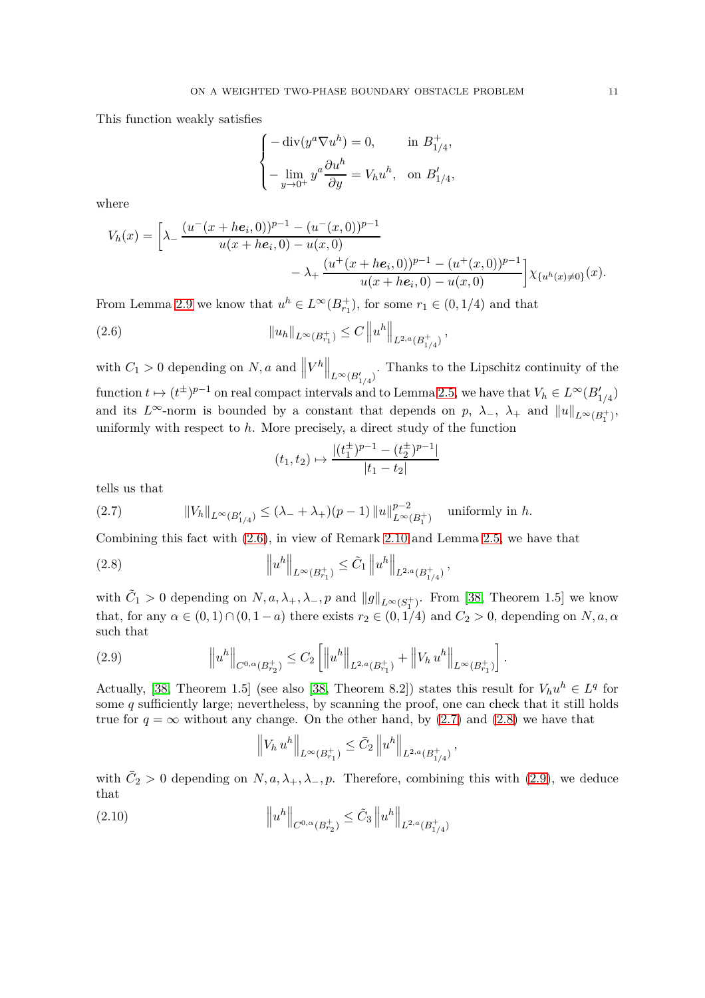This function weakly satisfies

$$
\begin{cases}\n-\operatorname{div}(y^a \nabla u^h) = 0, & \text{in } B_{1/4}^+, \\
-\lim_{y \to 0^+} y^a \frac{\partial u^h}{\partial y} = V_h u^h, & \text{on } B_{1/4}',\n\end{cases}
$$

where

$$
V_h(x) = \left[\lambda - \frac{(u^-(x+he_i,0))^{p-1} - (u^-(x,0))^{p-1}}{u(x+he_i,0) - u(x,0)} - \lambda + \frac{(u^+(x+he_i,0))^{p-1} - (u^+(x,0))^{p-1}}{u(x+he_i,0) - u(x,0)}\right] \chi_{\{u^h(x) \neq 0\}}(x).
$$

From Lemma [2.9](#page-9-0) we know that  $u^h \in L^\infty(B_{r_1}^+)$ , for some  $r_1 \in (0, 1/4)$  and that

(2.6) 
$$
||u_h||_{L^{\infty}(B_{r_1}^+)} \leq C ||u^h||_{L^{2,a}(B_{1/4}^+)},
$$

with  $C_1 > 0$  depending on  $N, a$  and  $||V^h||_{L^{\infty}(B'_{1/4})}$ . Thanks to the Lipschitz continuity of the  $\mathbf{f}$  function  $t \mapsto (t^{\pm})^{p-1}$  on real compact intervals and to Lemma [2.5,](#page-8-1) we have that  $V_h \in L^{\infty}(B'_{1/4})$ and its  $L^{\infty}$ -norm is bounded by a constant that depends on  $p$ ,  $\lambda_{-}$ ,  $\lambda_{+}$  and  $||u||_{L^{\infty}(B_{1}^{+})}$ , uniformly with respect to *h*. More precisely, a direct study of the function

<span id="page-10-2"></span><span id="page-10-0"></span>
$$
(t_1, t_2) \mapsto \frac{|(t_1^{\pm})^{p-1} - (t_2^{\pm})^{p-1}|}{|t_1 - t_2|}
$$

tells us that

<span id="page-10-1"></span>(2.7) 
$$
||V_h||_{L^{\infty}(B'_{1/4})} \leq (\lambda_- + \lambda_+)(p-1) ||u||_{L^{\infty}(B_1^+)}^{p-2} \text{ uniformly in } h.
$$

Combining this fact with [\(2.6\)](#page-10-0), in view of Remark [2.10](#page-9-1) and Lemma [2.5,](#page-8-1) we have that

(2.8) 
$$
\left\|u^{h}\right\|_{L^{\infty}(B_{r_1}^+)} \leq \tilde{C}_1 \left\|u^{h}\right\|_{L^{2,a}(B_{1/4}^+)},
$$

with  $\tilde{C}_1 > 0$  depending on  $N, a, \lambda_+, \lambda_-, p$  and  $||g||_{L^{\infty}(S_1^+)}$ . From [\[38,](#page-30-5) Theorem 1.5] we know that, for any  $\alpha \in (0,1) \cap (0,1-a)$  there exists  $r_2 \in (0,1/4)$  and  $C_2 > 0$ , depending on  $N, a, \alpha$ such that

$$
(2.9) \t\t\t ||u^h||_{C^{0,\alpha}(B_{r_2}^+)} \leq C_2 \left[ \left\| u^h \right\|_{L^{2,a}(B_{r_1}^+)} + \left\| V_h u^h \right\|_{L^{\infty}(B_{r_1}^+)} \right].
$$

Actually, [\[38,](#page-30-5) Theorem 1.5] (see also [38, Theorem 8.2]) states this result for  $V_h u^h \in L^q$  for some *q* sufficiently large; nevertheless, by scanning the proof, one can check that it still holds true for  $q = \infty$  without any change. On the other hand, by [\(2.7\)](#page-10-1) and [\(2.8\)](#page-10-2) we have that

<span id="page-10-4"></span><span id="page-10-3"></span>
$$
\left\|V_h u^h\right\|_{L^{\infty}(B_{r_1}^+)} \leq \bar{C}_2 \left\|u^h\right\|_{L^{2,a}(B_{1/4}^+)},
$$

with  $\bar{C}_2 > 0$  depending on  $N, a, \lambda_+, \lambda_-, p$ . Therefore, combining this with [\(2.9\)](#page-10-3), we deduce that

(2.10) 
$$
\left\|u^{h}\right\|_{C^{0,\alpha}(B_{r_{2}}^{+})} \leq \tilde{C}_{3} \left\|u^{h}\right\|_{L^{2,a}(B_{1/4}^{+})}
$$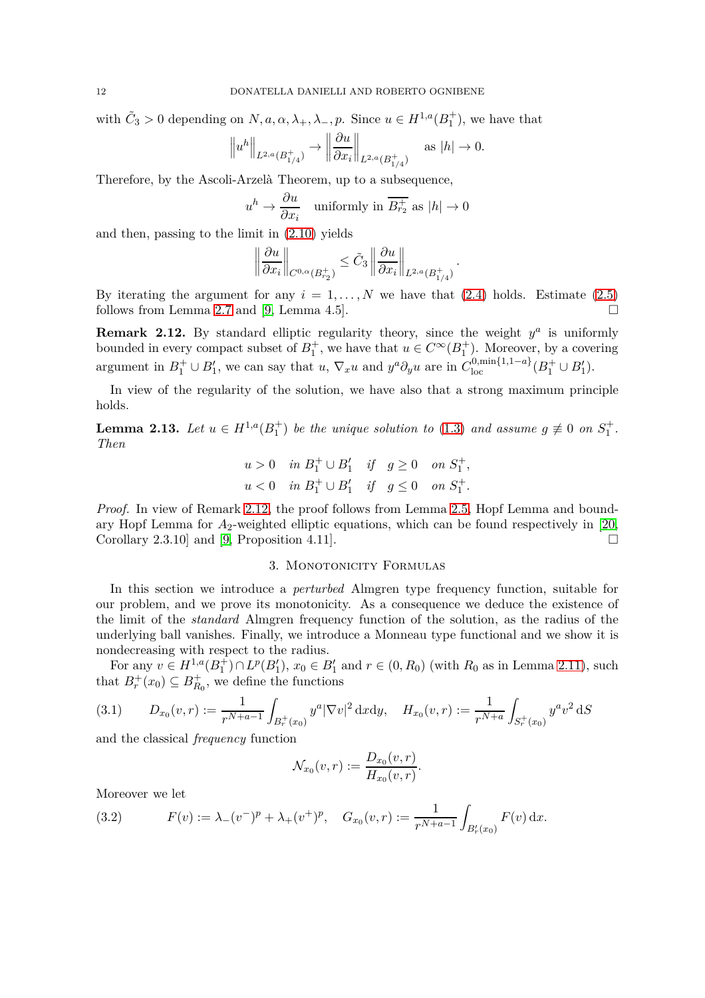with  $\tilde{C}_3 > 0$  depending on  $N, a, \alpha, \lambda_+, \lambda_-, p$ . Since  $u \in H^{1,a}(B_1^+)$ , we have that

$$
\left\|u^h\right\|_{L^{2,a}(B_{1/4}^+)}\to \left\|\frac{\partial u}{\partial x_i}\right\|_{L^{2,a}(B_{1/4}^+)}\quad\text{as }|h|\to 0.
$$

Therefore, by the Ascoli-Arzelà Theorem, up to a subsequence,

$$
u^h \to \frac{\partial u}{\partial x_i} \quad \text{uniformly in } \overline{B_{r_2}^+} \text{ as } |h| \to 0
$$

and then, passing to the limit in [\(2.10\)](#page-10-4) yields

$$
\left\|\frac{\partial u}{\partial x_i}\right\|_{C^{0,\alpha}(B_{r_2}^+)} \leq \tilde{C}_3 \left\|\frac{\partial u}{\partial x_i}\right\|_{L^{2,a}(B_{1/4}^+)}
$$

*.*

By iterating the argument for any  $i = 1, \ldots, N$  we have that  $(2.4)$  holds. Estimate  $(2.5)$ follows from Lemma [2.7](#page-8-0) and [\[9,](#page-29-21) Lemma 4.5].

<span id="page-11-1"></span>**Remark 2.12.** By standard elliptic regularity theory, since the weight  $y^a$  is uniformly bounded in every compact subset of  $B_1^+$ , we have that  $u \in C^\infty(B_1^+)$ . Moreover, by a covering argument in  $B_1^+ \cup B_1'$ , we can say that *u*,  $\nabla_x u$  and  $y^a \partial_y u$  are in  $C_{\text{loc}}^{0,\text{min}\{1,1-a\}}(B_1^+ \cup B_1')$ .

In view of the regularity of the solution, we have also that a strong maximum principle holds.

**Lemma 2.13.** *Let*  $u \in H^{1,a}(B_1^+)$  *be the unique solution to* [\(1.3\)](#page-2-0) *and assume*  $g \not\equiv 0$  *on*  $S_1^+$ *. Then*

$$
u > 0 \quad in \ B_1^+ \cup B_1' \quad if \quad g \ge 0 \quad on \ S_1^+,
$$
  

$$
u < 0 \quad in \ B_1^+ \cup B_1' \quad if \quad g \le 0 \quad on \ S_1^+.
$$

*Proof.* In view of Remark [2.12,](#page-11-1) the proof follows from Lemma [2.5,](#page-8-1) Hopf Lemma and boundary Hopf Lemma for  $A_2$ -weighted elliptic equations, which can be found respectively in [\[20,](#page-29-12) Corollary 2.3.10 and [\[9,](#page-29-21) Proposition 4.11].

# 3. Monotonicity Formulas

<span id="page-11-0"></span>In this section we introduce a *perturbed* Almgren type frequency function, suitable for our problem, and we prove its monotonicity. As a consequence we deduce the existence of the limit of the *standard* Almgren frequency function of the solution, as the radius of the underlying ball vanishes. Finally, we introduce a Monneau type functional and we show it is nondecreasing with respect to the radius.

For any  $v \in H^{1,a}(B_1^+) \cap L^p(B_1'), x_0 \in B_1'$  and  $r \in (0, R_0)$  (with  $R_0$  as in Lemma [2.11\)](#page-9-4), such that  $B_r^+(x_0) \subseteq B_{R_0}^+$ , we define the functions

<span id="page-11-3"></span>
$$
(3.1) \qquad D_{x_0}(v,r) := \frac{1}{r^{N+a-1}} \int_{B_r^+(x_0)} y^a |\nabla v|^2 \, \mathrm{d}x \mathrm{d}y, \quad H_{x_0}(v,r) := \frac{1}{r^{N+a}} \int_{S_r^+(x_0)} y^a v^2 \, \mathrm{d}S
$$

and the classical *frequency* function

$$
\mathcal{N}_{x_0}(v,r) := \frac{D_{x_0}(v,r)}{H_{x_0}(v,r)}.
$$

Moreover we let

<span id="page-11-2"></span>(3.2) 
$$
F(v) := \lambda_{-}(v^{-})^{p} + \lambda_{+}(v^{+})^{p}, \quad G_{x_{0}}(v,r) := \frac{1}{r^{N+a-1}} \int_{B'_{r}(x_{0})} F(v) dx.
$$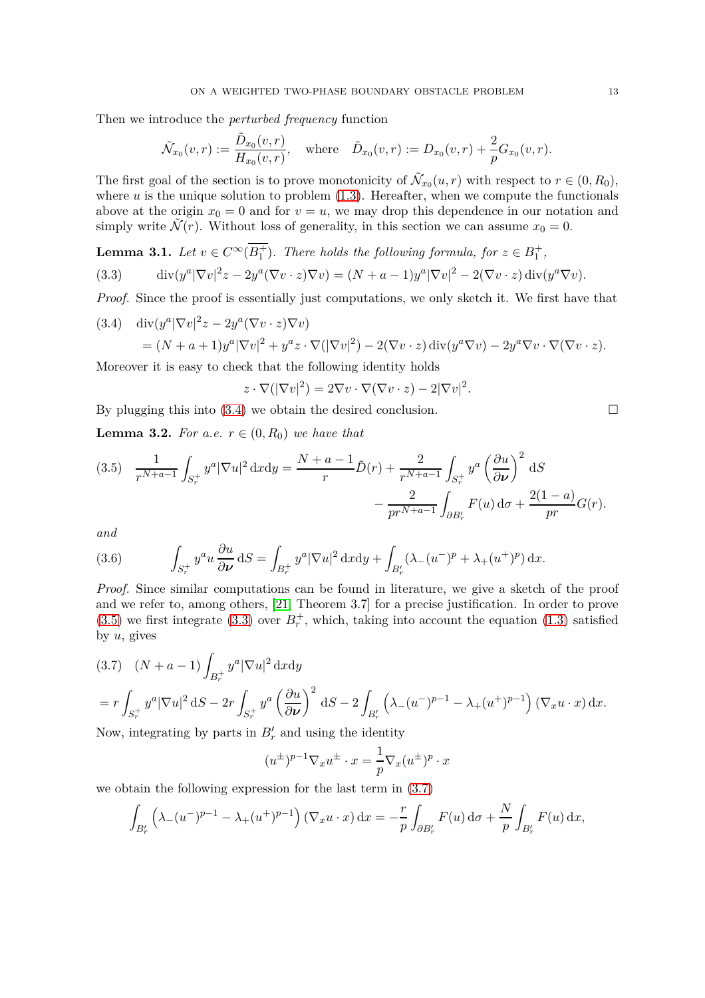Then we introduce the *perturbed frequency* function

$$
\tilde{\mathcal{N}}_{x_0}(v,r):=\frac{\tilde{D}_{x_0}(v,r)}{H_{x_0}(v,r)}, \quad \text{where} \quad \tilde{D}_{x_0}(v,r):=D_{x_0}(v,r)+\frac{2}{p}G_{x_0}(v,r).
$$

The first goal of the section is to prove monotonicity of  $\tilde{\mathcal{N}}_{x_0}(u,r)$  with respect to  $r \in (0, R_0)$ , where  $u$  is the unique solution to problem  $(1.3)$ . Hereafter, when we compute the functionals above at the origin  $x_0 = 0$  and for  $v = u$ , we may drop this dependence in our notation and simply write  $\tilde{\mathcal{N}}(r)$ . Without loss of generality, in this section we can assume  $x_0 = 0$ .

<span id="page-12-2"></span>**Lemma 3.1.** Let 
$$
v \in C^{\infty}(\overline{B_1^+})
$$
. There holds the following formula, for  $z \in B_1^+$ ,  
(3.3) 
$$
\operatorname{div}(y^a |\nabla v|^2 z - 2y^a (\nabla v \cdot z) \nabla v) = (N + a - 1) y^a |\nabla v|^2 - 2(\nabla v \cdot z) \operatorname{div}(y^a \nabla v).
$$

*Proof.* Since the proof is essentially just computations, we only sketch it. We first have that

<span id="page-12-0"></span>(3.4) 
$$
\begin{aligned} \operatorname{div}(y^a |\nabla v|^2 z - 2y^a (\nabla v \cdot z) \nabla v) \\ &= (N + a + 1) y^a |\nabla v|^2 + y^a z \cdot \nabla (|\nabla v|^2) - 2(\nabla v \cdot z) \operatorname{div}(y^a \nabla v) - 2y^a \nabla v \cdot \nabla (\nabla v \cdot z). \end{aligned}
$$

Moreover it is easy to check that the following identity holds

$$
z \cdot \nabla (|\nabla v|^2) = 2\nabla v \cdot \nabla (\nabla v \cdot z) - 2|\nabla v|^2.
$$

By plugging this into [\(3.4\)](#page-12-0) we obtain the desired conclusion.  $\square$ 

**Lemma 3.2.** *For a.e.*  $r \in (0, R_0)$  *we have that* 

<span id="page-12-1"></span>(3.5) 
$$
\frac{1}{r^{N+a-1}} \int_{S_r^+} y^a |\nabla u|^2 \, \mathrm{d}x \mathrm{d}y = \frac{N+a-1}{r} \tilde{D}(r) + \frac{2}{r^{N+a-1}} \int_{S_r^+} y^a \left(\frac{\partial u}{\partial \nu}\right)^2 \mathrm{d}S - \frac{2}{pr^{N+a-1}} \int_{\partial B'_r} F(u) \, \mathrm{d}\sigma + \frac{2(1-a)}{pr} G(r).
$$

*and*

<span id="page-12-4"></span>(3.6) 
$$
\int_{S_r^+} y^a u \frac{\partial u}{\partial \nu} dS = \int_{B_r^+} y^a |\nabla u|^2 dxdy + \int_{B'_r} (\lambda_-(u^-)^p + \lambda_+(u^+)^p) dx.
$$

*Proof.* Since similar computations can be found in literature, we give a sketch of the proof and we refer to, among others, [\[21,](#page-29-22) Theorem 3.7] for a precise justification. In order to prove  $(3.5)$  we first integrate  $(3.3)$  over  $B_r^+$ , which, taking into account the equation  $(1.3)$  satisfied by *u*, gives

<span id="page-12-3"></span>
$$
(3.7) \quad (N+a-1)\int_{B_r^+} y^a |\nabla u|^2 \, \mathrm{d}x \mathrm{d}y
$$
  
=  $r \int_{S_r^+} y^a |\nabla u|^2 \, \mathrm{d}S - 2r \int_{S_r^+} y^a \left(\frac{\partial u}{\partial \nu}\right)^2 \, \mathrm{d}S - 2 \int_{B_r'} \left(\lambda_-(u^-)^{p-1} - \lambda_+(u^+)^{p-1}\right) (\nabla_x u \cdot x) \, \mathrm{d}x.$ 

Now, integrating by parts in  $B'_r$  and using the identity

$$
(u^{\pm})^{p-1} \nabla_x u^{\pm} \cdot x = \frac{1}{p} \nabla_x (u^{\pm})^p \cdot x
$$

we obtain the following expression for the last term in [\(3.7\)](#page-12-3)

$$
\int_{B'_r} \left( \lambda_-(u^-)^{p-1} - \lambda_+(u^+)^{p-1} \right) (\nabla_x u \cdot x) \, \mathrm{d}x = -\frac{r}{p} \int_{\partial B'_r} F(u) \, \mathrm{d}\sigma + \frac{N}{p} \int_{B'_r} F(u) \, \mathrm{d}x,
$$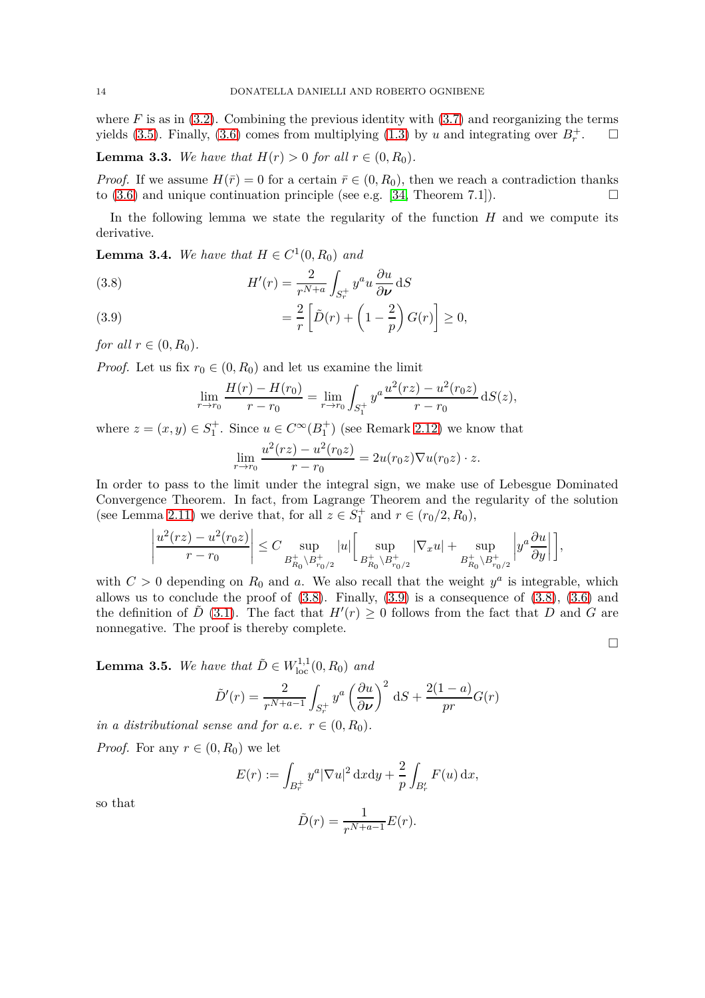where  $F$  is as in  $(3.2)$ . Combining the previous identity with  $(3.7)$  and reorganizing the terms yields [\(3.5\)](#page-12-1). Finally, [\(3.6\)](#page-12-4) comes from multiplying [\(1.3\)](#page-2-0) by *u* and integrating over  $B_r^+$  $\Box$ 

**Lemma 3.3.** *We have that*  $H(r) > 0$  *for all*  $r \in (0, R_0)$ *.* 

*Proof.* If we assume  $H(\bar{r}) = 0$  for a certain  $\bar{r} \in (0, R_0)$ , then we reach a contradiction thanks to (3.6) and unique continuation principle (see e.g. [34] Theorem 7.1]) to [\(3.6\)](#page-12-4) and unique continuation principle (see e.g. [\[34,](#page-30-10) Theorem 7.1]).

In the following lemma we state the regularity of the function *H* and we compute its derivative.

<span id="page-13-2"></span>**Lemma 3.4.** *We have that*  $H \in C^1(0, R_0)$  *and* 

<span id="page-13-0"></span>(3.8) 
$$
H'(r) = \frac{2}{r^{N+a}} \int_{S_r^+} y^a u \frac{\partial u}{\partial \nu} dS
$$

<span id="page-13-1"></span>(3.9) 
$$
= \frac{2}{r} \left[ \tilde{D}(r) + \left( 1 - \frac{2}{p} \right) G(r) \right] \ge 0,
$$

*for all*  $r \in (0, R_0)$ *.* 

*Proof.* Let us fix  $r_0 \in (0, R_0)$  and let us examine the limit

$$
\lim_{r \to r_0} \frac{H(r) - H(r_0)}{r - r_0} = \lim_{r \to r_0} \int_{S_1^+} y^a \frac{u^2(rz) - u^2(r_0z)}{r - r_0} dS(z),
$$

where  $z = (x, y) \in S_1^+$ . Since  $u \in C^\infty(B_1^+)$  (see Remark [2.12\)](#page-11-1) we know that

$$
\lim_{r \to r_0} \frac{u^2(rz) - u^2(r_0 z)}{r - r_0} = 2u(r_0 z) \nabla u(r_0 z) \cdot z.
$$

In order to pass to the limit under the integral sign, we make use of Lebesgue Dominated Convergence Theorem. In fact, from Lagrange Theorem and the regularity of the solution (see Lemma [2.11\)](#page-9-4) we derive that, for all  $z \in S_1^+$  and  $r \in (r_0/2, R_0)$ ,

$$
\left| \frac{u^2(rz) - u^2(r_0 z)}{r - r_0} \right| \le C \sup_{B_{R_0}^+ \backslash B_{r_0/2}^+} |u| \Big[ \sup_{B_{R_0}^+ \backslash B_{r_0/2}^+} |\nabla_x u| + \sup_{B_{R_0}^+ \backslash B_{r_0/2}^+} \left| y^a \frac{\partial u}{\partial y} \right| \Big],
$$

with  $C > 0$  depending on  $R_0$  and  $a$ . We also recall that the weight  $y^a$  is integrable, which allows us to conclude the proof of  $(3.8)$ . Finally,  $(3.9)$  is a consequence of  $(3.8)$ ,  $(3.6)$  and the definition of  $\tilde{D}$  [\(3.1\)](#page-11-3). The fact that  $H'(r) \geq 0$  follows from the fact that  $D$  and  $G$  are nonnegative. The proof is thereby complete.

<span id="page-13-3"></span>**Lemma 3.5.** *We have that*  $\tilde{D} \in W^{1,1}_{loc}(0, R_0)$  *and* 

$$
\tilde{D}'(r) = \frac{2}{r^{N+a-1}} \int_{S_r^+} y^a \left(\frac{\partial u}{\partial \nu}\right)^2 dS + \frac{2(1-a)}{pr} G(r)
$$

*in a distributional sense and for a.e.*  $r \in (0, R_0)$ *.* 

*Proof.* For any  $r \in (0, R_0)$  we let

$$
E(r) := \int_{B_r^+} y^a |\nabla u|^2 \, \mathrm{d}x \mathrm{d}y + \frac{2}{p} \int_{B'_r} F(u) \, \mathrm{d}x,
$$

so that

$$
\tilde{D}(r) = \frac{1}{r^{N+a-1}}E(r).
$$

 $\Box$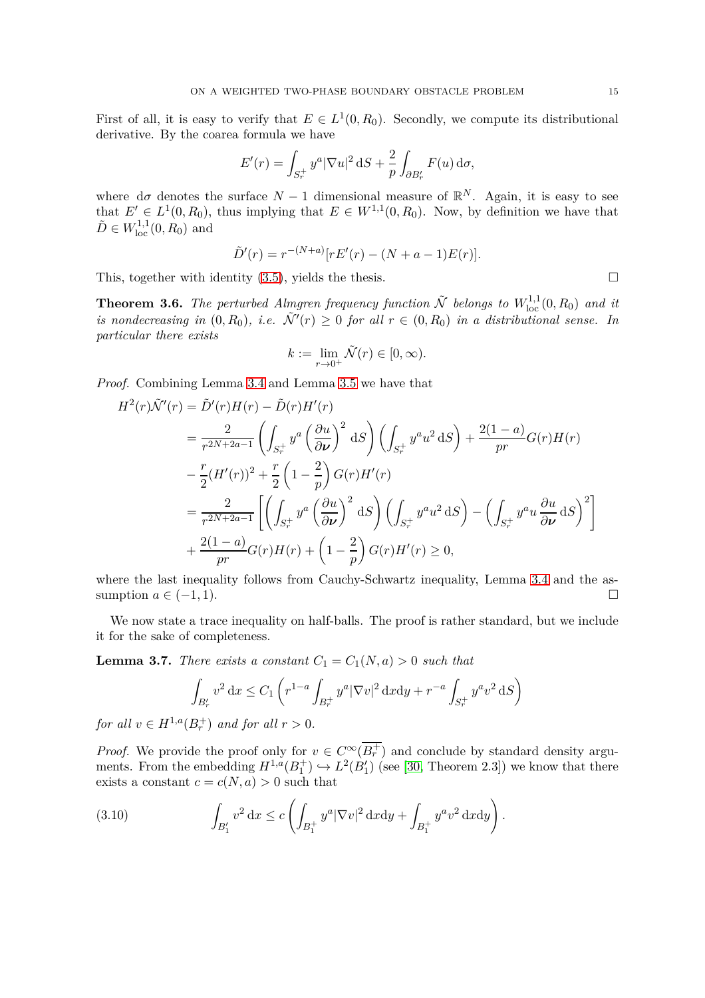First of all, it is easy to verify that  $E \in L^1(0, R_0)$ . Secondly, we compute its distributional derivative. By the coarea formula we have

$$
E'(r) = \int_{S_r^+} y^a |\nabla u|^2 \, \mathrm{d}S + \frac{2}{p} \int_{\partial B'_r} F(u) \, \mathrm{d}\sigma,
$$

where  $d\sigma$  denotes the surface  $N-1$  dimensional measure of  $\mathbb{R}^N$ . Again, it is easy to see that  $E' \in L^1(0, R_0)$ , thus implying that  $E \in W^{1,1}(0, R_0)$ . Now, by definition we have that  $\tilde{D} \in W^{1,1}_{loc}(0, R_0)$  and

$$
\tilde{D}'(r) = r^{-(N+a)} [rE'(r) - (N+a-1)E(r)].
$$

This, together with identity  $(3.5)$ , yields the thesis.  $\Box$ 

<span id="page-14-2"></span>**Theorem 3.6.** *The perturbed Almgren frequency function*  $\tilde{\mathcal{N}}$  *belongs to*  $W^{1,1}_{loc}(0, R_0)$  *and it is nondecreasing in*  $(0, R_0)$ *, i.e.*  $\tilde{\mathcal{N}}'(r) \geq 0$  *for all*  $r \in (0, R_0)$  *in a distributional sense. In particular there exists*

$$
k := \lim_{r \to 0^+} \tilde{\mathcal{N}}(r) \in [0, \infty).
$$

*Proof.* Combining Lemma [3.4](#page-13-2) and Lemma [3.5](#page-13-3) we have that

$$
H^{2}(r)\tilde{\mathcal{N}}'(r) = \tilde{D}'(r)H(r) - \tilde{D}(r)H'(r)
$$
  
\n
$$
= \frac{2}{r^{2N+2a-1}} \left( \int_{S_{r}^{+}} y^{a} \left( \frac{\partial u}{\partial \nu} \right)^{2} dS \right) \left( \int_{S_{r}^{+}} y^{a} u^{2} dS \right) + \frac{2(1-a)}{pr} G(r)H(r)
$$
  
\n
$$
- \frac{r}{2} (H'(r))^{2} + \frac{r}{2} \left( 1 - \frac{2}{p} \right) G(r)H'(r)
$$
  
\n
$$
= \frac{2}{r^{2N+2a-1}} \left[ \left( \int_{S_{r}^{+}} y^{a} \left( \frac{\partial u}{\partial \nu} \right)^{2} dS \right) \left( \int_{S_{r}^{+}} y^{a} u^{2} dS \right) - \left( \int_{S_{r}^{+}} y^{a} u \frac{\partial u}{\partial \nu} dS \right)^{2} \right]
$$
  
\n
$$
+ \frac{2(1-a)}{pr} G(r)H(r) + \left( 1 - \frac{2}{p} \right) G(r)H'(r) \ge 0,
$$

where the last inequality follows from Cauchy-Schwartz inequality, Lemma [3.4](#page-13-2) and the assumption  $a \in (-1, 1)$ .

We now state a trace inequality on half-balls. The proof is rather standard, but we include it for the sake of completeness.

<span id="page-14-0"></span>**Lemma 3.7.** *There exists a constant*  $C_1 = C_1(N, a) > 0$  *such that* 

$$
\int_{B'_r} v^2 dx \le C_1 \left( r^{1-a} \int_{B_r^+} y^a |\nabla v|^2 dx dy + r^{-a} \int_{S_r^+} y^a v^2 dS \right)
$$

*for all*  $v \in H^{1,a}(B_r^+)$  *and for all*  $r > 0$ *.* 

*Proof.* We provide the proof only for  $v \in C^{\infty}(\overline{B_r^+})$  and conclude by standard density arguments. From the embedding  $H^{1,a}(B_1^+) \hookrightarrow L^2(B'_1)$  (see [\[30,](#page-29-23) Theorem 2.3]) we know that there exists a constant  $c = c(N, a) > 0$  such that

<span id="page-14-1"></span>(3.10) 
$$
\int_{B'_1} v^2 dx \le c \left( \int_{B_1^+} y^a |\nabla v|^2 dx dy + \int_{B_1^+} y^a v^2 dx dy \right).
$$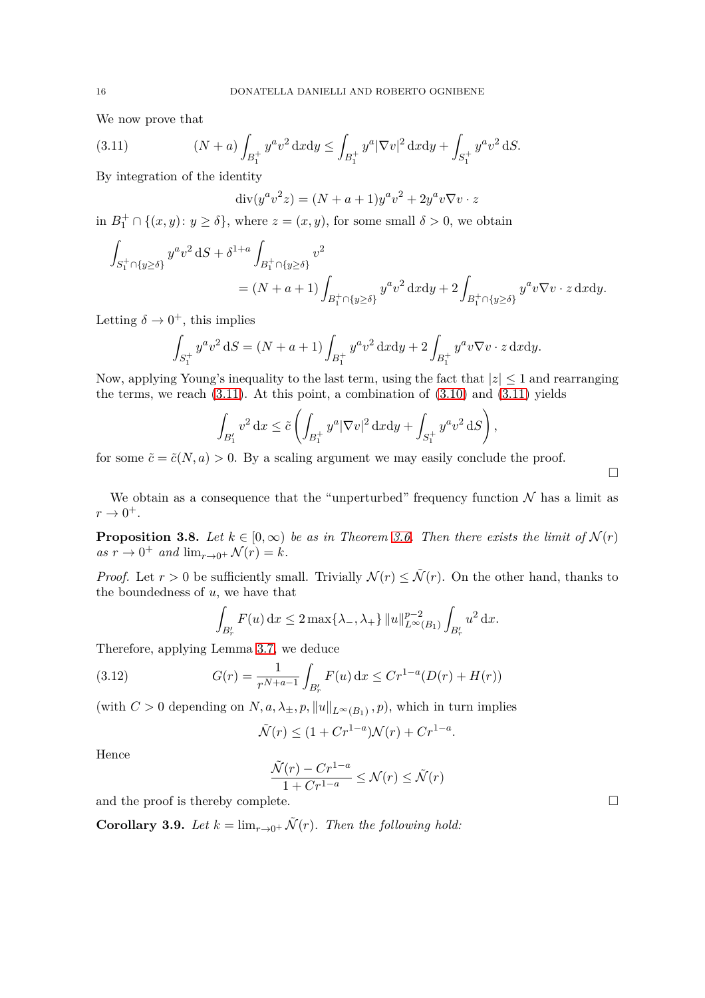We now prove that

(3.11) 
$$
(N+a)\int_{B_1^+} y^a v^2 \, \mathrm{d}x \mathrm{d}y \le \int_{B_1^+} y^a |\nabla v|^2 \, \mathrm{d}x \mathrm{d}y + \int_{S_1^+} y^a v^2 \, \mathrm{d}S.
$$

By integration of the identity

<span id="page-15-1"></span>
$$
div(y^a v^2 z) = (N+a+1)y^a v^2 + 2y^a v \nabla v \cdot z
$$

in  $B_1^+ \cap \{(x, y) : y \ge \delta\}$ , where  $z = (x, y)$ , for some small  $\delta > 0$ , we obtain

$$
\int_{S_1^+\cap\{y\geq\delta\}} y^a v^2 \,dS + \delta^{1+a} \int_{B_1^+\cap\{y\geq\delta\}} v^2
$$
\n
$$
= (N+a+1) \int_{B_1^+\cap\{y\geq\delta\}} y^a v^2 \,dxdy + 2 \int_{B_1^+\cap\{y\geq\delta\}} y^a v \nabla v \cdot z \,dxdy.
$$

Letting  $\delta \to 0^+$ , this implies

$$
\int_{S_1^+} y^a v^2 dS = (N + a + 1) \int_{B_1^+} y^a v^2 dxdy + 2 \int_{B_1^+} y^a v \nabla v \cdot z dxdy.
$$

Now, applying Young's inequality to the last term, using the fact that  $|z| \leq 1$  and rearranging the terms, we reach  $(3.11)$ . At this point, a combination of  $(3.10)$  and  $(3.11)$  yields

$$
\int_{B_1'} v^2 dx \leq \tilde{c} \left( \int_{B_1^+} y^a |\nabla v|^2 dx dy + \int_{S_1^+} y^a v^2 dS \right),
$$

for some  $\tilde{c} = \tilde{c}(N, a) > 0$ . By a scaling argument we may easily conclude the proof.

 $\Box$ 

We obtain as a consequence that the "unperturbed" frequency function  $N$  has a limit as  $r \rightarrow 0^+$ .

<span id="page-15-0"></span>**Proposition 3.8.** *Let*  $k \in [0, \infty)$  *be as in Theorem [3.6.](#page-14-2) Then there exists the limit of*  $\mathcal{N}(r)$  $as r \to 0^+$  *and*  $\lim_{r \to 0^+} \mathcal{N}(r) = k$ *.* 

*Proof.* Let  $r > 0$  be sufficiently small. Trivially  $\mathcal{N}(r) \leq \tilde{\mathcal{N}}(r)$ . On the other hand, thanks to the boundedness of *u*, we have that

<span id="page-15-2"></span>
$$
\int_{B'_r} F(u) \, dx \le 2 \max\{\lambda_-, \lambda_+\} ||u||_{L^{\infty}(B_1)}^{p-2} \int_{B'_r} u^2 \, dx.
$$

Therefore, applying Lemma [3.7,](#page-14-0) we deduce

(3.12) 
$$
G(r) = \frac{1}{r^{N+a-1}} \int_{B'_r} F(u) dx \le Cr^{1-a}(D(r) + H(r))
$$

(with  $C > 0$  depending on  $N, a, \lambda_{\pm}, p, \|u\|_{L^{\infty}(B_1)}, p$ ), which in turn implies

$$
\tilde{\mathcal{N}}(r) \le (1 + Cr^{1-a})\mathcal{N}(r) + Cr^{1-a}.
$$

Hence

$$
\frac{\tilde{\mathcal{N}}(r) - Cr^{1-a}}{1 + Cr^{1-a}} \le \mathcal{N}(r) \le \tilde{\mathcal{N}}(r)
$$

and the proof is thereby complete.

<span id="page-15-3"></span>**Corollary 3.9.** *Let*  $k = \lim_{r \to 0^+} \tilde{\mathcal{N}}(r)$ *. Then the following hold:*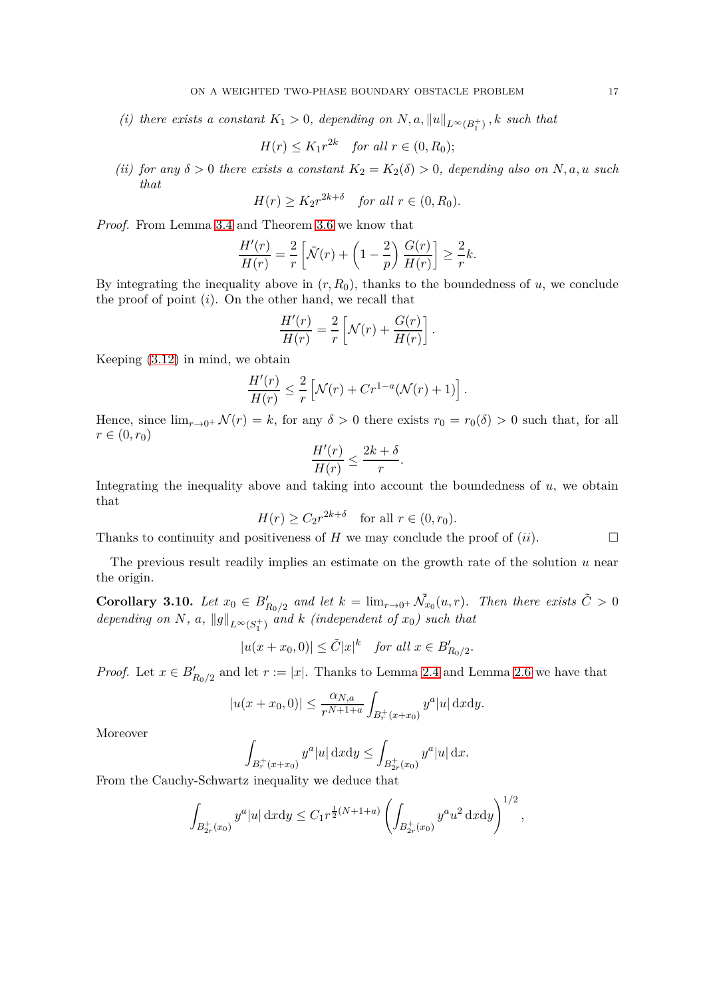*(i)* there exists a constant  $K_1 > 0$ , depending on  $N$ ,  $a$ ,  $||u||_{L^{\infty}(B_1^+)}$ ,  $k$  such that

$$
H(r) \le K_1 r^{2k} \quad \text{for all } r \in (0, R_0);
$$

*(ii) for any*  $\delta > 0$  *there exists a constant*  $K_2 = K_2(\delta) > 0$ *, depending also on N, a, u such that*

$$
H(r) \ge K_2 r^{2k+\delta} \quad \text{for all } r \in (0, R_0).
$$

*Proof.* From Lemma [3.4](#page-13-2) and Theorem [3.6](#page-14-2) we know that

$$
\frac{H'(r)}{H(r)} = \frac{2}{r} \left[ \tilde{\mathcal{N}}(r) + \left( 1 - \frac{2}{p} \right) \frac{G(r)}{H(r)} \right] \ge \frac{2}{r} k.
$$

By integrating the inequality above in  $(r, R_0)$ , thanks to the boundedness of  $u$ , we conclude the proof of point (*i*). On the other hand, we recall that

$$
\frac{H'(r)}{H(r)} = \frac{2}{r} \left[ \mathcal{N}(r) + \frac{G(r)}{H(r)} \right].
$$

Keeping [\(3.12\)](#page-15-2) in mind, we obtain

$$
\frac{H'(r)}{H(r)} \leq \frac{2}{r} \left[ \mathcal{N}(r) + Cr^{1-a}(\mathcal{N}(r) + 1) \right].
$$

Hence, since  $\lim_{r\to 0^+} \mathcal{N}(r) = k$ , for any  $\delta > 0$  there exists  $r_0 = r_0(\delta) > 0$  such that, for all  $r \in (0, r_0)$ 

$$
\frac{H'(r)}{H(r)} \le \frac{2k+\delta}{r}.
$$

Integrating the inequality above and taking into account the boundedness of  $u$ , we obtain that

$$
H(r) \ge C_2 r^{2k+\delta} \quad \text{for all } r \in (0, r_0).
$$

Thanks to continuity and positiveness of  $H$  we may conclude the proof of  $(ii)$ .

The previous result readily implies an estimate on the growth rate of the solution *u* near the origin.

<span id="page-16-0"></span>**Corollary 3.10.** Let  $x_0 \in B'_{R_0/2}$  and let  $k = \lim_{r \to 0^+} \tilde{\mathcal{N}}_{x_0}(u,r)$ . Then there exists  $\tilde{C} > 0$ *depending on*  $N$ *, a*,  $||g||_{L^{\infty}(S_1^+)}$  and  $k$  (independent of  $x_0$ ) such that

$$
|u(x+x_0,0)| \le \tilde{C}|x|^k \quad \text{for all } x \in B'_{R_0/2}.
$$

*Proof.* Let  $x \in B'_{R_0/2}$  and let  $r := |x|$ . Thanks to Lemma [2.4](#page-7-4) and Lemma [2.6](#page-8-2) we have that

$$
|u(x+x_0,0)| \le \frac{\alpha_{N,a}}{r^{N+1+a}} \int_{B_r^+(x+x_0)} y^a |u| \, \mathrm{d}x \mathrm{d}y.
$$

Moreover

$$
\int_{B_r^+(x+x_0)} y^a |u| \, \mathrm{d}x \mathrm{d}y \le \int_{B_{2r}^+(x_0)} y^a |u| \, \mathrm{d}x.
$$

From the Cauchy-Schwartz inequality we deduce that

$$
\int_{B_{2r}^+(x_0)}y^a|u|\,\mathrm{d}x\mathrm{d}y\leq C_1 r^{\frac{1}{2}(N+1+a)}\left(\int_{B_{2r}^+(x_0)}y^au^2\,\mathrm{d}x\mathrm{d}y\right)^{1/2},
$$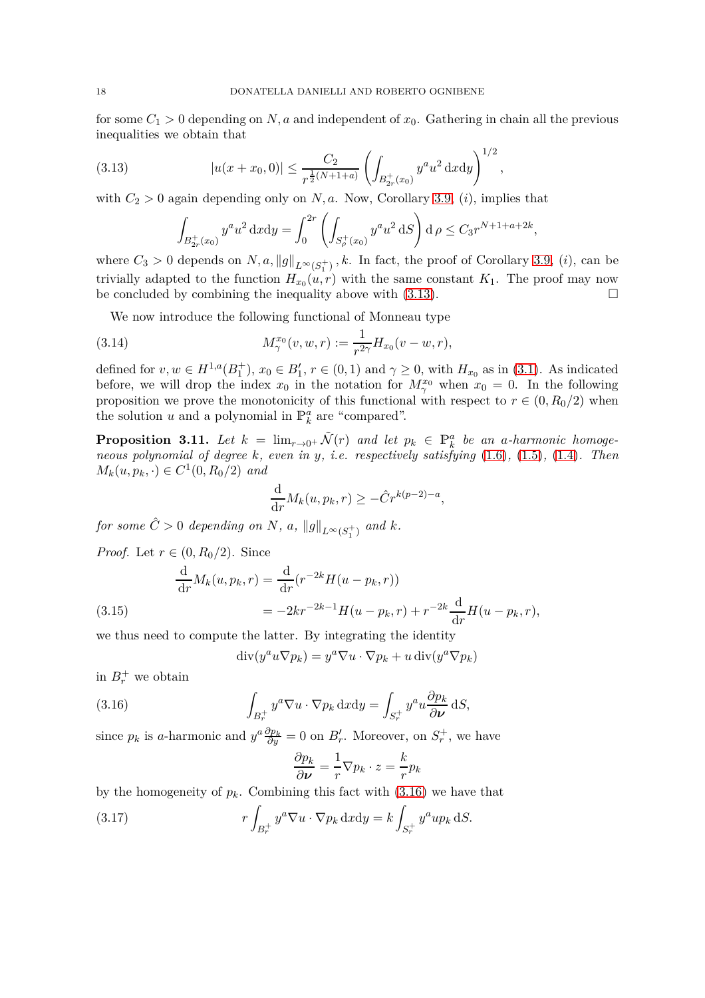for some  $C_1 > 0$  depending on N, a and independent of  $x_0$ . Gathering in chain all the previous inequalities we obtain that

*,*

(3.13) 
$$
|u(x+x_0,0)| \leq \frac{C_2}{r^{\frac{1}{2}(N+1+a)}} \left( \int_{B_{2r}^+(x_0)} y^a u^2 \, \mathrm{d}x \mathrm{d}y \right)^{1/2}
$$

with  $C_2 > 0$  again depending only on *N*, *a*. Now, Corollary [3.9,](#page-15-3) *(i)*, implies that

<span id="page-17-5"></span><span id="page-17-0"></span>
$$
\int_{B_{2r}^+(x_0)} y^a u^2 \, \mathrm{d}x \mathrm{d}y = \int_0^{2r} \left( \int_{S_p^+(x_0)} y^a u^2 \, \mathrm{d}S \right) \mathrm{d}\,\rho \le C_3 r^{N+1+a+2k},
$$

where  $C_3 > 0$  depends on  $N, a, \|g\|_{L^\infty(S_1^+)}$ , k. In fact, the proof of Corollary [3.9,](#page-15-3)  $(i)$ , can be trivially adapted to the function  $H_{x_0}(u,r)$  with the same constant  $K_1$ . The proof may now be concluded by combining the inequality above with  $(3.13)$ .

We now introduce the following functional of Monneau type

(3.14) 
$$
M_{\gamma}^{x_0}(v, w, r) := \frac{1}{r^{2\gamma}} H_{x_0}(v - w, r),
$$

defined for  $v, w \in H^{1,a}(B_1^+), x_0 \in B'_1, r \in (0,1)$  and  $\gamma \ge 0$ , with  $H_{x_0}$  as in [\(3.1\)](#page-11-3). As indicated before, we will drop the index  $x_0$  in the notation for  $M_{\gamma}^{x_0}$  when  $x_0 = 0$ . In the following proposition we prove the monotonicity of this functional with respect to  $r \in (0, R_0/2)$  when the solution *u* and a polynomial in  $\mathbb{P}_k^a$  are "compared".

<span id="page-17-4"></span>**Proposition 3.11.** Let  $k = \lim_{r \to 0^+} \tilde{\mathcal{N}}(r)$  and let  $p_k \in \mathbb{P}_k^a$  be an a-harmonic homoge*neous polynomial of degree k, even in y, i.e. respectively satisfying* [\(1.6\)](#page-3-1)*,* [\(1.5\)](#page-3-2)*,* [\(1.4\)](#page-3-3)*. Then*  $M_k(u, p_k, \cdot) \in C^1(0, R_0/2)$  *and* 

$$
\frac{\mathrm{d}}{\mathrm{d}r}M_k(u, p_k, r) \ge -\hat{C}r^{k(p-2)-a},
$$

*for some*  $\hat{C} > 0$  *depending on*  $N$ *, a,*  $||g||_{L^{\infty}(S_1^+)}$  *and*  $k$ *.* 

*Proof.* Let  $r \in (0, R_0/2)$ . Since

(3.15) 
$$
\frac{d}{dr}M_k(u, p_k, r) = \frac{d}{dr}(r^{-2k}H(u - p_k, r))
$$

$$
= -2kr^{-2k-1}H(u - p_k, r) + r^{-2k}\frac{d}{dr}H(u - p_k, r),
$$

<span id="page-17-3"></span>we thus need to compute the latter. By integrating the identity

<span id="page-17-1"></span>
$$
\operatorname{div}(y^a u \nabla p_k) = y^a \nabla u \cdot \nabla p_k + u \operatorname{div}(y^a \nabla p_k)
$$

in  $B_r^+$  we obtain

(3.16) 
$$
\int_{B_r^+} y^a \nabla u \cdot \nabla p_k \, \mathrm{d}x \mathrm{d}y = \int_{S_r^+} y^a u \frac{\partial p_k}{\partial \nu} \, \mathrm{d}S,
$$

since  $p_k$  is *a*-harmonic and  $y^a \frac{\partial p_k}{\partial y} = 0$  on  $B'_r$ . Moreover, on  $S^+_r$ , we have

<span id="page-17-2"></span>
$$
\frac{\partial p_k}{\partial \nu} = \frac{1}{r} \nabla p_k \cdot z = \frac{k}{r} p_k
$$

by the homogeneity of  $p_k$ . Combining this fact with  $(3.16)$  we have that

(3.17) 
$$
r \int_{B_r^+} y^a \nabla u \cdot \nabla p_k \, \mathrm{d}x \mathrm{d}y = k \int_{S_r^+} y^a u p_k \, \mathrm{d}S.
$$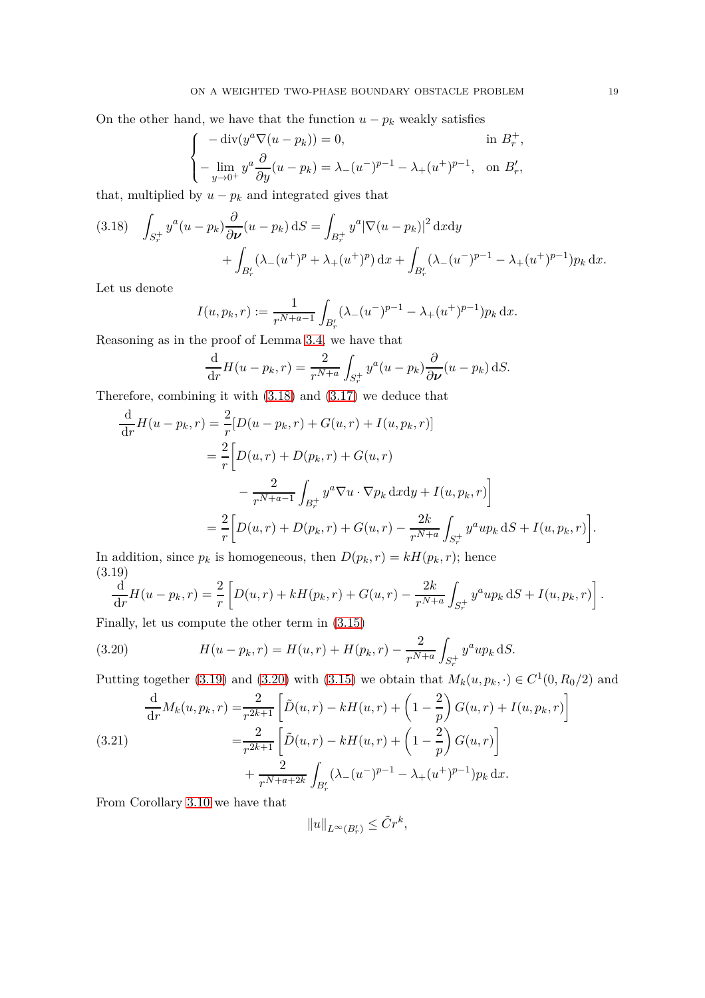On the other hand, we have that the function  $u - p_k$  weakly satisfies

$$
\begin{cases}\n-\operatorname{div}(y^a \nabla (u - p_k)) = 0, & \text{in } B^+_r, \\
-\lim_{y \to 0^+} y^a \frac{\partial}{\partial y} (u - p_k) = \lambda_-(u^-)^{p-1} - \lambda_+(u^+)^{p-1}, & \text{on } B'_r,\n\end{cases}
$$

that, multiplied by  $u - p_k$  and integrated gives that

<span id="page-18-0"></span>
$$
(3.18) \quad \int_{S_r^+} y^a (u - p_k) \frac{\partial}{\partial \nu} (u - p_k) \, \mathrm{d}S = \int_{B_r^+} y^a |\nabla (u - p_k)|^2 \, \mathrm{d}x \mathrm{d}y + \int_{B'_r} (\lambda_-(u^+)^p + \lambda_+(u^+)^p) \, \mathrm{d}x + \int_{B'_r} (\lambda_-(u^-)^{p-1} - \lambda_+(u^+)^{p-1}) p_k \, \mathrm{d}x.
$$

Let us denote

$$
I(u, p_k, r) := \frac{1}{r^{N+a-1}} \int_{B'_r} (\lambda_-(u^-)^{p-1} - \lambda_+(u^+)^{p-1}) p_k \, dx.
$$

Reasoning as in the proof of Lemma [3.4,](#page-13-2) we have that

$$
\frac{\mathrm{d}}{\mathrm{d}r}H(u-p_k,r) = \frac{2}{r^{N+a}} \int_{S_r^+} y^a (u-p_k) \frac{\partial}{\partial \nu} (u-p_k) \, \mathrm{d}S.
$$

Therefore, combining it with [\(3.18\)](#page-18-0) and [\(3.17\)](#page-17-2) we deduce that

$$
\frac{d}{dr}H(u - p_k, r) = \frac{2}{r}[D(u - p_k, r) + G(u, r) + I(u, p_k, r)]
$$
  
\n
$$
= \frac{2}{r}\Big[D(u, r) + D(p_k, r) + G(u, r)\Big]
$$
  
\n
$$
- \frac{2}{r^{N+a-1}}\int_{B_r^+} y^a \nabla u \cdot \nabla p_k \,dxdy + I(u, p_k, r)\Big]
$$
  
\n
$$
= \frac{2}{r}\Big[D(u, r) + D(p_k, r) + G(u, r) - \frac{2k}{r^{N+a}}\int_{S_r^+} y^a u p_k \,dS + I(u, p_k, r)\Big].
$$

In addition, since  $p_k$  is homogeneous, then  $D(p_k, r) = kH(p_k, r)$ ; hence (3.19)

<span id="page-18-1"></span>
$$
\frac{\mathrm{d}}{\mathrm{d}r}H(u-p_k,r) = \frac{2}{r}\left[D(u,r) + kH(p_k,r) + G(u,r) - \frac{2k}{r^{N+a}}\int_{S_r^+} y^a u p_k \,dS + I(u,p_k,r)\right].
$$

Finally, let us compute the other term in [\(3.15\)](#page-17-3)

<span id="page-18-2"></span>(3.20) 
$$
H(u - p_k, r) = H(u, r) + H(p_k, r) - \frac{2}{r^{N+a}} \int_{S_r^+} y^a u p_k \, dS.
$$

Putting together [\(3.19\)](#page-18-1) and [\(3.20\)](#page-18-2) with [\(3.15\)](#page-17-3) we obtain that  $M_k(u, p_k, \cdot) \in C^1(0, R_0/2)$  and

<span id="page-18-3"></span>(3.21) 
$$
\frac{d}{dr}M_k(u, p_k, r) = \frac{2}{r^{2k+1}} \left[ \tilde{D}(u, r) - kH(u, r) + \left(1 - \frac{2}{p}\right)G(u, r) + I(u, p_k, r) \right]
$$

$$
= \frac{2}{r^{2k+1}} \left[ \tilde{D}(u, r) - kH(u, r) + \left(1 - \frac{2}{p}\right)G(u, r) \right]
$$

$$
+ \frac{2}{r^{N+a+2k}} \int_{B'_r} (\lambda - (u^{-})^{p-1} - \lambda_{+}(u^{+})^{p-1}) p_k dx.
$$

From Corollary [3.10](#page-16-0) we have that

$$
||u||_{L^{\infty}(B'_r)} \leq \tilde{C}r^k,
$$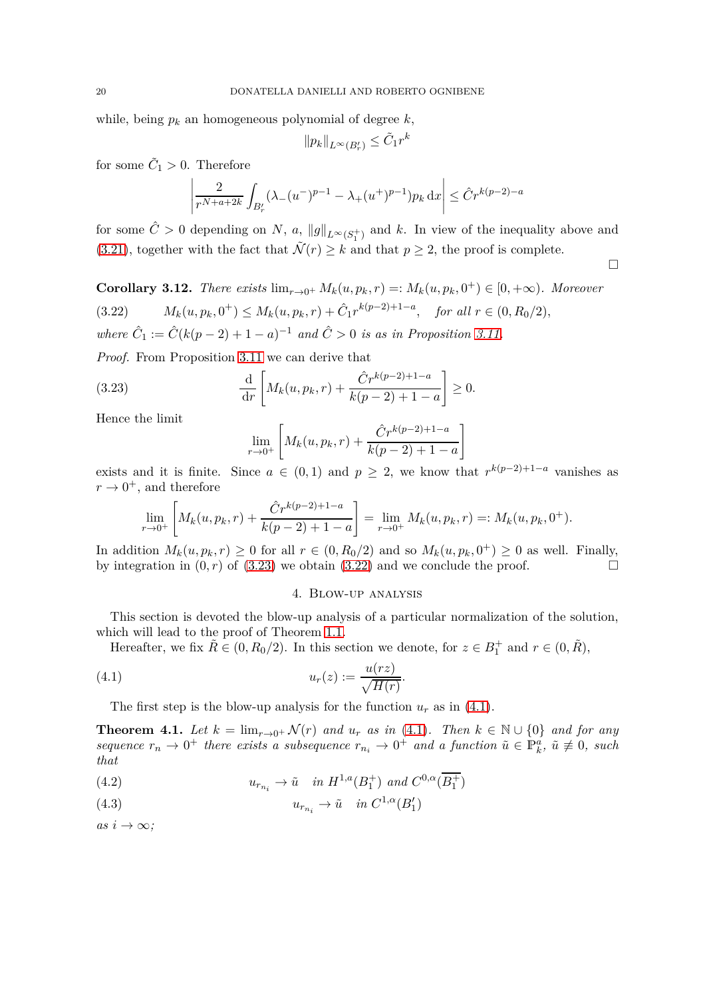while, being  $p_k$  an homogeneous polynomial of degree  $k$ ,

$$
\|p_k\|_{L^\infty(B'_r)}\leq \tilde{C}_1 r^k
$$

for some  $\tilde{C}_1 > 0$ . Therefore

$$
\left| \frac{2}{r^{N+a+2k}} \int_{B'_r} (\lambda - (u^-)^{p-1} - \lambda_+(u^+)^{p-1}) p_k \, dx \right| \leq \hat{C} r^{k(p-2)-a}
$$

for some  $\hat{C} > 0$  depending on *N*, *a*,  $||g||_{L^{\infty}(S_1^+)}$  and *k*. In view of the inequality above and [\(3.21\)](#page-18-3), together with the fact that  $\tilde{\mathcal{N}}(r) \geq k$  and that  $p \geq 2$ , the proof is complete.  $\Box$ 

<span id="page-19-7"></span><span id="page-19-3"></span>**Corollary 3.12.** *There exists*  $\lim_{r\to 0^+} M_k(u, p_k, r) =: M_k(u, p_k, 0^+) \in [0, +\infty)$ *. Moreover* (3.22)  $M_k(u, p_k, 0^+) \leq M_k(u, p_k, r) + \hat{C}_1 r^{k(p-2)+1-a}, \text{ for all } r \in (0, R_0/2),$ *where*  $\hat{C}_1 := \hat{C}(k(p-2) + 1 - a)^{-1}$  *and*  $\hat{C} > 0$  *is as in Proposition [3.11.](#page-17-4)* 

*Proof.* From Proposition [3.11](#page-17-4) we can derive that

(3.23) 
$$
\frac{\mathrm{d}}{\mathrm{d}r} \left[ M_k(u, p_k, r) + \frac{\hat{C}r^{k(p-2)+1-a}}{k(p-2)+1-a} \right] \ge 0.
$$

Hence the limit

<span id="page-19-2"></span>
$$
\lim_{r \to 0^+} \left[ M_k(u, p_k, r) + \frac{\hat{C}r^{k(p-2)+1-a}}{k(p-2)+1-a} \right]
$$

exists and it is finite. Since  $a \in (0,1)$  and  $p \geq 2$ , we know that  $r^{k(p-2)+1-a}$  vanishes as  $r \to 0^+$ , and therefore

$$
\lim_{r \to 0^+} \left[ M_k(u, p_k, r) + \frac{\hat{C}r^{k(p-2)+1-a}}{k(p-2)+1-a} \right] = \lim_{r \to 0^+} M_k(u, p_k, r) =: M_k(u, p_k, 0^+).
$$

<span id="page-19-1"></span>In addition  $M_k(u, p_k, r) \ge 0$  for all  $r \in (0, R_0/2)$  and so  $M_k(u, p_k, 0^+) \ge 0$  as well. Finally, by integration in  $(0, r)$  of  $(3.23)$  we obtain  $(3.22)$  and we conclude the proof.

## <span id="page-19-4"></span>4. Blow-up analysis

This section is devoted the blow-up analysis of a particular normalization of the solution, which will lead to the proof of Theorem [1.1.](#page-3-0)

Hereafter, we fix  $\tilde{R} \in (0, R_0/2)$ . In this section we denote, for  $z \in B_1^+$  and  $r \in (0, \tilde{R})$ ,

(4.1) *<sup>u</sup>r*(*z*) := *<sup>u</sup>*(*rz*) p *H*(*r*) *.*

The first step is the blow-up analysis for the function  $u_r$  as in [\(4.1\)](#page-19-4).

<span id="page-19-0"></span>**Theorem 4.1.** Let  $k = \lim_{r \to 0^+} \mathcal{N}(r)$  and  $u_r$  as in [\(4.1\)](#page-19-4). Then  $k \in \mathbb{N} \cup \{0\}$  and for any  $sequence\ r_n \to 0^+$  *there exists a subsequence*  $r_{n_i} \to 0^+$  *and a function*  $\tilde{u} \in \mathbb{P}_k^{\tilde{a}}$ ,  $\tilde{u} \not\equiv 0$ , such *that*

<span id="page-19-5"></span>(4.2) 
$$
u_{r_{n_i}} \to \tilde{u} \quad in \ H^{1,a}(B_1^+) \ and \ C^{0,\alpha}(B_1^+)
$$

<span id="page-19-6"></span>(4.3) 
$$
u_{r_{n_i}} \to \tilde{u} \quad in \ C^{1,\alpha}(B'_1)
$$

 $as i \rightarrow \infty$ ;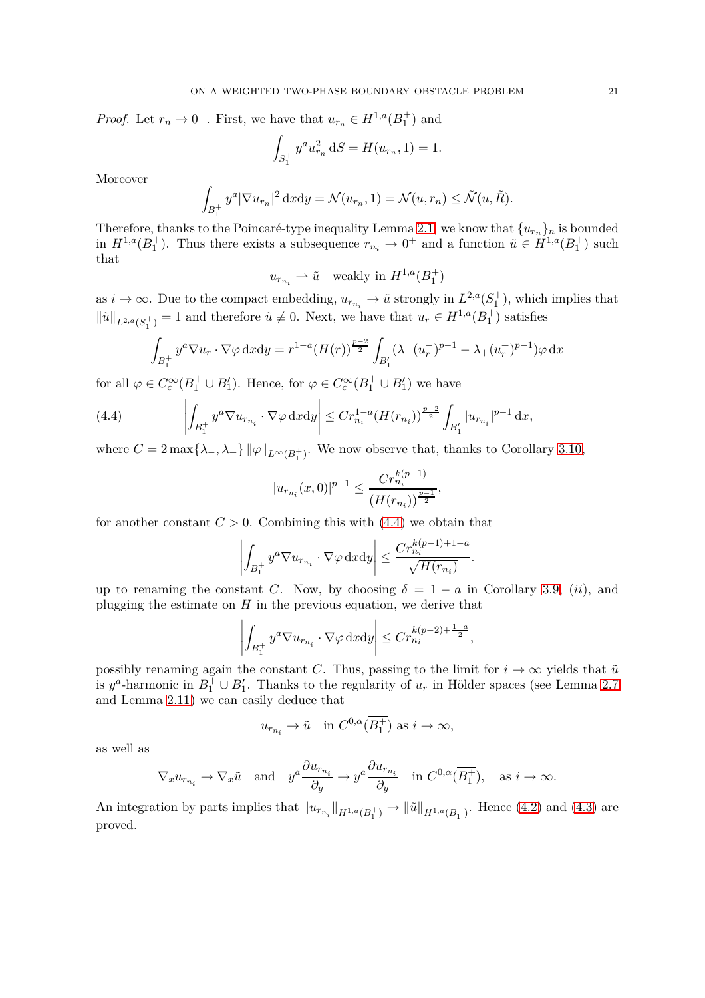*Proof.* Let  $r_n \to 0^+$ . First, we have that  $u_{r_n} \in H^{1,a}(B_1^+)$  and

$$
\int_{S_1^+} y^a u_{r_n}^2 dS = H(u_{r_n}, 1) = 1.
$$

Moreover

$$
\int_{B_1^+} y^a |\nabla u_{r_n}|^2 dxdy = \mathcal{N}(u_{r_n}, 1) = \mathcal{N}(u, r_n) \le \tilde{\mathcal{N}}(u, \tilde{R}).
$$

Therefore, thanks to the Poincaré-type inequality Lemma [2.1,](#page-7-2) we know that  $\{u_{r_n}\}_n$  is bounded in  $H^{1,a}(B_1^+)$ . Thus there exists a subsequence  $r_{n_i} \to 0^+$  and a function  $\tilde{u} \in H^{1,a}(B_1^+)$  such that

$$
u_{r_{n_i}} \rightharpoonup \tilde{u} \quad \text{weakly in } H^{1,a}(B_1^+)
$$

as  $i \to \infty$ . Due to the compact embedding,  $u_{r_{n_i}} \to \tilde{u}$  strongly in  $L^{2,a}(S_1^+)$ , which implies that  $\|\tilde{u}\|_{L^{2,a}(S_1^+)} = 1$  and therefore  $\tilde{u} \neq 0$ . Next, we have that  $u_r \in H^{1,a}(B_1^+)$  satisfies

<span id="page-20-0"></span>
$$
\int_{B_1^+} y^a \nabla u_r \cdot \nabla \varphi \, dx \, dy = r^{1-a} (H(r))^{\frac{p-2}{2}} \int_{B_1'} (\lambda_-(u_r^-)^{p-1} - \lambda_+(u_r^+)^{p-1}) \varphi \, dx
$$

for all  $\varphi \in C_c^{\infty}(B_1^+ \cup B_1')$ . Hence, for  $\varphi \in C_c^{\infty}(B_1^+ \cup B_1')$  we have

(4.4) 
$$
\left| \int_{B_1^+} y^a \nabla u_{r_{n_i}} \cdot \nabla \varphi \, \mathrm{d}x \mathrm{d}y \right| \leq C r_{n_i}^{1-a} (H(r_{n_i}))^{\frac{p-2}{2}} \int_{B_1'} |u_{r_{n_i}}|^{p-1} \, \mathrm{d}x,
$$

where  $C = 2 \max\{\lambda_-, \lambda_+\} \|\varphi\|_{L^\infty(B_1^+)}$ . We now observe that, thanks to Corollary [3.10,](#page-16-0)

$$
|u_{r_{n_i}}(x,0)|^{p-1} \le \frac{Cr_{n_i}^{k(p-1)}}{(H(r_{n_i}))^{\frac{p-1}{2}}},
$$

for another constant  $C > 0$ . Combining this with  $(4.4)$  we obtain that

$$
\left| \int_{B_1^+} y^a \nabla u_{r_{n_i}} \cdot \nabla \varphi \, \mathrm{d}x \mathrm{d}y \right| \le \frac{Cr_{n_i}^{k(p-1)+1-a}}{\sqrt{H(r_{n_i})}}
$$

*.*

up to renaming the constant *C*. Now, by choosing  $\delta = 1 - a$  in Corollary [3.9,](#page-15-3) (*ii*), and plugging the estimate on  $H$  in the previous equation, we derive that

$$
\left| \int_{B_1^+} y^a \nabla u_{r_{n_i}} \cdot \nabla \varphi \, \mathrm{d}x \mathrm{d}y \right| \leq C r_{n_i}^{k(p-2) + \frac{1-a}{2}},
$$

possibly renaming again the constant *C*. Thus, passing to the limit for  $i \to \infty$  yields that  $\tilde{u}$ is  $y^a$ -harmonic in  $B_1^+ \cup B_1'$ . Thanks to the regularity of  $u_r$  in Hölder spaces (see Lemma [2.7](#page-8-0) and Lemma [2.11\)](#page-9-4) we can easily deduce that

$$
u_{r_{n_i}} \to \tilde{u}
$$
 in  $C^{0,\alpha}(\overline{B_1^+})$  as  $i \to \infty$ ,

as well as

$$
\nabla_x u_{r_{n_i}} \to \nabla_x \tilde{u} \quad \text{and} \quad y^a \frac{\partial u_{r_{n_i}}}{\partial y} \to y^a \frac{\partial u_{r_{n_i}}}{\partial y} \quad \text{in } C^{0,\alpha}(\overline{B_1^+}), \quad \text{as } i \to \infty.
$$

An integration by parts implies that  $||u_{r_{n_i}}||_{H^{1,a}(B_1^+)} \to ||\tilde{u}||_{H^{1,a}(B_1^+)}$ . Hence [\(4.2\)](#page-19-5) and [\(4.3\)](#page-19-6) are proved.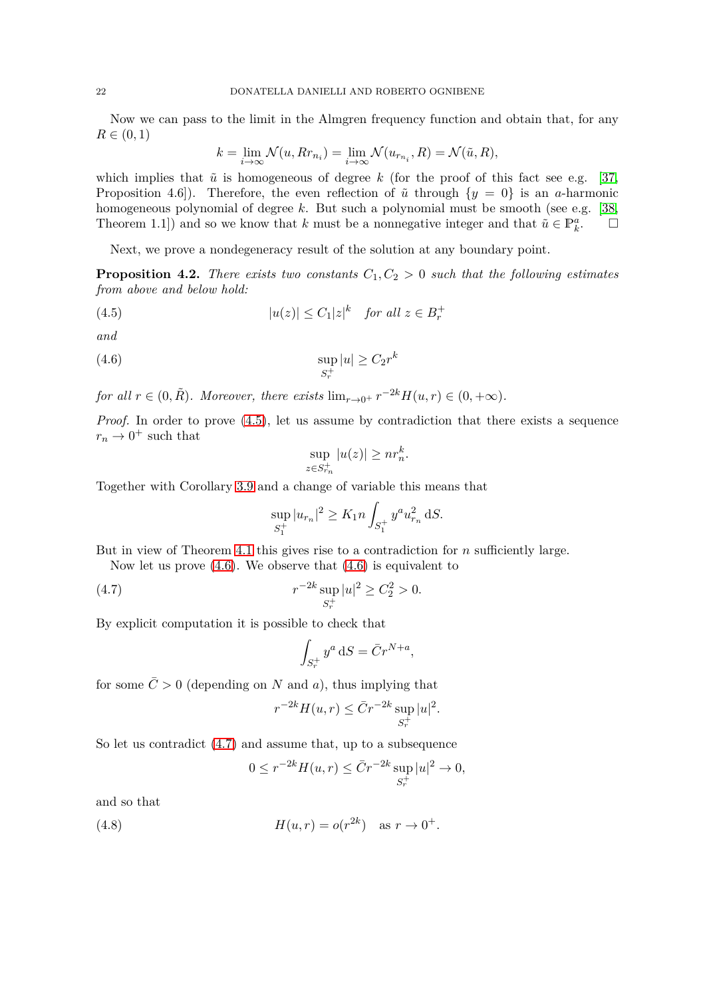Now we can pass to the limit in the Almgren frequency function and obtain that, for any  $R \in (0, 1)$ 

$$
k = \lim_{i \to \infty} \mathcal{N}(u, Rr_{n_i}) = \lim_{i \to \infty} \mathcal{N}(u_{r_{n_i}}, R) = \mathcal{N}(\tilde{u}, R),
$$

which implies that  $\tilde{u}$  is homogeneous of degree k (for the proof of this fact see e.g. [\[37,](#page-30-1) Proposition 4.6]). Therefore, the even reflection of  $\tilde{u}$  through  $\{y = 0\}$  is an *a*-harmonic homogeneous polynomial of degree *k*. But such a polynomial must be smooth (see e.g. [\[38,](#page-30-5) Theorem 1.1]) and so we know that *k* must be a nonnegative integer and that  $\tilde{u} \in \mathbb{P}_k^a$  $\Box$ 

Next, we prove a nondegeneracy result of the solution at any boundary point.

<span id="page-21-4"></span>**Proposition 4.2.** *There exists two constants*  $C_1, C_2 > 0$  *such that the following estimates from above and below hold:*

(4.5) 
$$
|u(z)| \leq C_1 |z|^k \quad \text{for all } z \in B_r^+
$$

*and*

$$
\sup_{S_r^+}|u| \ge C_2 r^k
$$

*for all*  $r \in (0, \tilde{R})$ *. Moreover, there exists*  $\lim_{r \to 0^+} r^{-2k} H(u, r) \in (0, +\infty)$ *.* 

*Proof.* In order to prove  $(4.5)$ , let us assume by contradiction that there exists a sequence  $r_n \to 0^+$  such that

<span id="page-21-1"></span><span id="page-21-0"></span>
$$
\sup_{z \in S_{r_n}^+} |u(z)| \geq nr_n^k.
$$

Together with Corollary [3.9](#page-15-3) and a change of variable this means that

$$
\sup_{S_1^+} |u_{r_n}|^2 \ge K_1 n \int_{S_1^+} y^a u_{r_n}^2 \, \mathrm{d}S.
$$

But in view of Theorem [4.1](#page-19-0) this gives rise to a contradiction for *n* sufficiently large.

Now let us prove  $(4.6)$ . We observe that  $(4.6)$  is equivalent to

(4.7) 
$$
r^{-2k} \sup_{S_r^+} |u|^2 \ge C_2^2 > 0.
$$

By explicit computation it is possible to check that

<span id="page-21-2"></span>
$$
\int_{S_r^+} y^a \, \mathrm{d}S = \bar{C}r^{N+a},
$$

for some  $\overline{C} > 0$  (depending on *N* and *a*), thus implying that

$$
r^{-2k}H(u,r) \leq \bar{C}r^{-2k} \sup_{S_r^+} |u|^2.
$$

So let us contradict [\(4.7\)](#page-21-2) and assume that, up to a subsequence

<span id="page-21-3"></span>
$$
0 \le r^{-2k} H(u, r) \le \bar{C} r^{-2k} \sup_{S_r^+} |u|^2 \to 0,
$$

and so that

(4.8) 
$$
H(u,r) = o(r^{2k}) \text{ as } r \to 0^+.
$$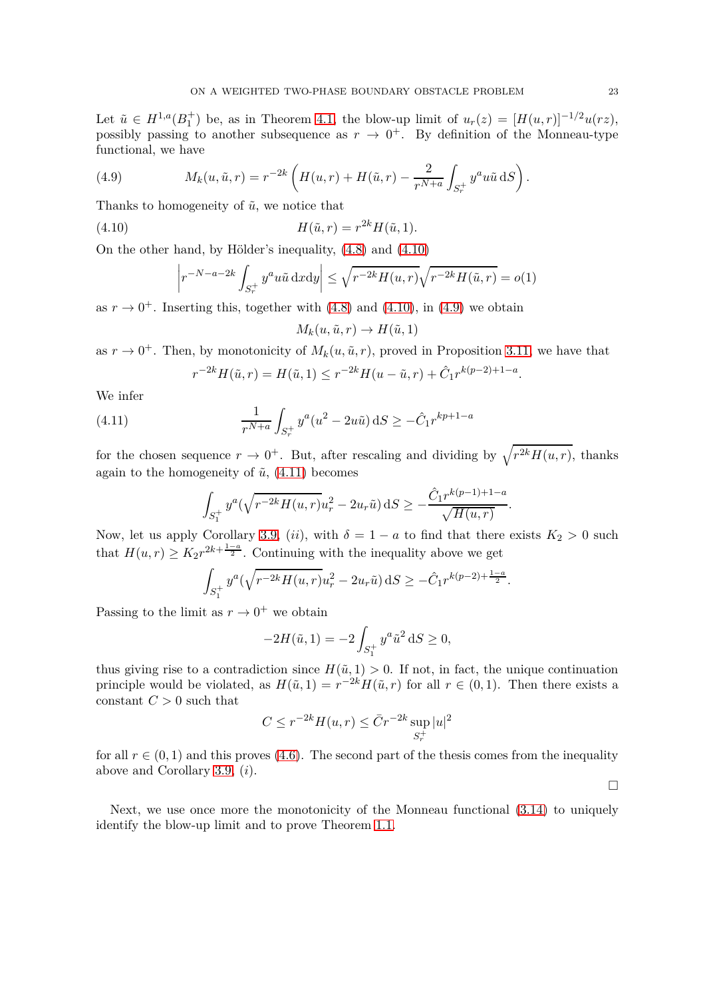Let  $\tilde{u} \in H^{1,a}(B_1^+)$  be, as in Theorem [4.1,](#page-19-0) the blow-up limit of  $u_r(z) = [H(u,r)]^{-1/2}u(rz)$ , possibly passing to another subsequence as  $r \to 0^+$ . By definition of the Monneau-type functional, we have

<span id="page-22-1"></span>(4.9) 
$$
M_k(u, \tilde{u}, r) = r^{-2k} \left( H(u, r) + H(\tilde{u}, r) - \frac{2}{r^{N+a}} \int_{S_r^+} y^a u \tilde{u} \, dS \right).
$$

Thanks to homogeneity of  $\tilde{u}$ , we notice that

(4.10) 
$$
H(\tilde{u}, r) = r^{2k} H(\tilde{u}, 1).
$$

On the other hand, by Hölder's inequality,  $(4.8)$  and  $(4.10)$ 

$$
\left| r^{-N-a-2k} \int_{S_r^+} y^a u \tilde{u} \, \mathrm{d}x \mathrm{d}y \right| \le \sqrt{r^{-2k} H(u,r)} \sqrt{r^{-2k} H(\tilde{u},r)} = o(1)
$$

as  $r \to 0^+$ . Inserting this, together with [\(4.8\)](#page-21-3) and [\(4.10\)](#page-22-0), in [\(4.9\)](#page-22-1) we obtain

<span id="page-22-0"></span>
$$
M_k(u,\tilde{u},r) \to H(\tilde{u},1)
$$

as  $r \to 0^+$ . Then, by monotonicity of  $M_k(u, \tilde{u}, r)$ , proved in Proposition [3.11,](#page-17-4) we have that

<span id="page-22-2"></span>
$$
r^{-2k}H(\tilde{u},r) = H(\tilde{u},1) \le r^{-2k}H(u-\tilde{u},r) + \hat{C}_1 r^{k(p-2)+1-a}.
$$

We infer

(4.11) 
$$
\frac{1}{r^{N+a}} \int_{S_r^+} y^a (u^2 - 2u\tilde{u}) dS \ge -\hat{C}_1 r^{kp+1-a}
$$

for the chosen sequence  $r \to 0^+$ . But, after rescaling and dividing by  $\sqrt{r^{2k}H(u,r)}$ , thanks again to the homogeneity of  $\tilde{u}$ ,  $(4.11)$  becomes

$$
\int_{S_1^+} y^a(\sqrt{r^{-2k}H(u,r)}u_r^2 - 2u_r\tilde{u})\,\mathrm{d}S \ge -\frac{\hat{C}_1 r^{k(p-1)+1-a}}{\sqrt{H(u,r)}}.
$$

Now, let us apply Corollary [3.9,](#page-15-3) (*ii*), with  $\delta = 1 - a$  to find that there exists  $K_2 > 0$  such that  $H(u,r) \geq K_2 r^{2k+\frac{1-a}{2}}$ . Continuing with the inequality above we get

$$
\int_{S_1^+} y^a (\sqrt{r^{-2k}H(u,r)} u_r^2 - 2u_r \tilde{u}) \, dS \ge -\hat{C}_1 r^{k(p-2)+\frac{1-a}{2}}.
$$

Passing to the limit as  $r \to 0^+$  we obtain

$$
-2H(\tilde{u}, 1) = -2 \int_{S_1^+} y^a \tilde{u}^2 dS \ge 0,
$$

thus giving rise to a contradiction since  $H(\tilde{u}, 1) > 0$ . If not, in fact, the unique continuation principle would be violated, as  $H(\tilde{u}, 1) = r^{-2k}H(\tilde{u}, r)$  for all  $r \in (0, 1)$ . Then there exists a constant  $C > 0$  such that

$$
C \le r^{-2k} H(u, r) \le \bar{C} r^{-2k} \sup_{S_r^+} |u|^2
$$

for all  $r \in (0,1)$  and this proves [\(4.6\)](#page-21-1). The second part of the thesis comes from the inequality above and Corollary [3.9,](#page-15-3) (*i*).

Next, we use once more the monotonicity of the Monneau functional [\(3.14\)](#page-17-5) to uniquely identify the blow-up limit and to prove Theorem [1.1.](#page-3-0)

 $\Box$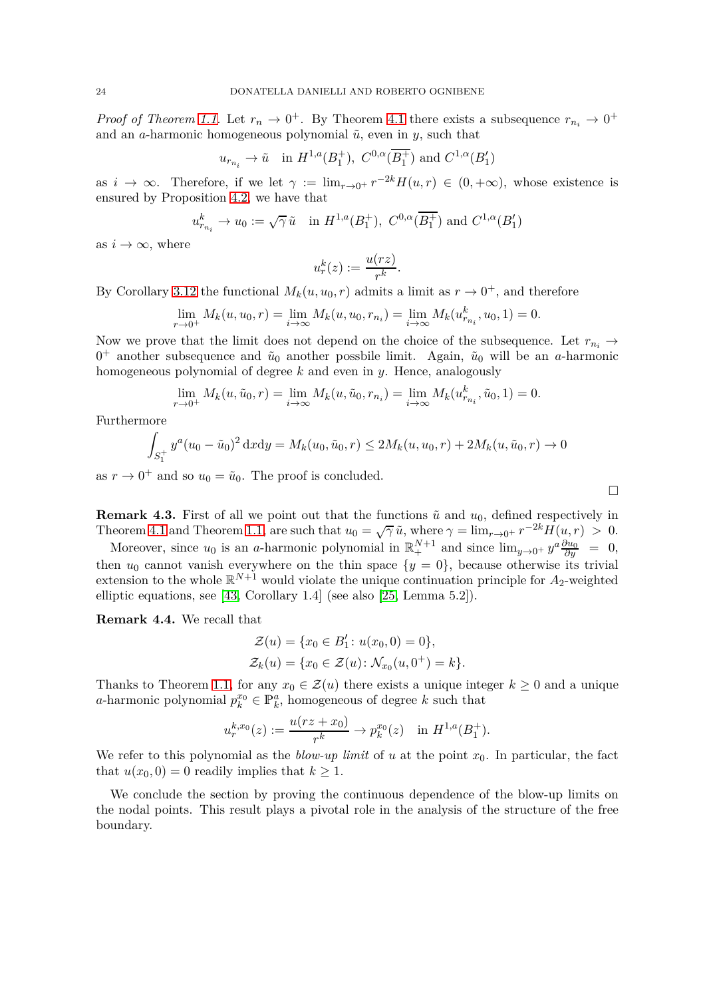*Proof of Theorem [1.1.](#page-3-0)* Let  $r_n \to 0^+$ . By Theorem [4.1](#page-19-0) there exists a subsequence  $r_{n_i} \to 0^+$ and an *a*-harmonic homogeneous polynomial  $\tilde{u}$ , even in *y*, such that

$$
u_{r_{n_i}} \to \tilde{u}
$$
 in  $H^{1,a}(B_1^+), C^{0,\alpha}(\overline{B_1^+})$  and  $C^{1,\alpha}(B_1')$ 

as  $i \to \infty$ . Therefore, if we let  $\gamma := \lim_{r \to 0^+} r^{-2k} H(u, r) \in (0, +\infty)$ , whose existence is ensured by Proposition [4.2,](#page-21-4) we have that

$$
u_{r_{n_i}}^k \to u_0 := \sqrt{\gamma} \tilde{u}
$$
 in  $H^{1,a}(B_1^+), C^{0,\alpha}(\overline{B_1^+})$  and  $C^{1,\alpha}(B_1')$ 

as  $i \to \infty$ , where

$$
u_r^k(z) := \frac{u(rz)}{r^k}.
$$

By Corollary [3.12](#page-19-7) the functional  $M_k(u, u_0, r)$  admits a limit as  $r \to 0^+$ , and therefore

$$
\lim_{r \to 0^+} M_k(u, u_0, r) = \lim_{i \to \infty} M_k(u, u_0, r_{n_i}) = \lim_{i \to \infty} M_k(u_{r_{n_i}}^k, u_0, 1) = 0.
$$

Now we prove that the limit does not depend on the choice of the subsequence. Let  $r_{n_i} \rightarrow$  $0^+$  another subsequence and  $\tilde{u}_0$  another possbile limit. Again,  $\tilde{u}_0$  will be an *a*-harmonic homogeneous polynomial of degree *k* and even in *y*. Hence, analogously

$$
\lim_{r \to 0^+} M_k(u, \tilde{u}_0, r) = \lim_{i \to \infty} M_k(u, \tilde{u}_0, r_{n_i}) = \lim_{i \to \infty} M_k(u_{r_{n_i}}^k, \tilde{u}_0, 1) = 0.
$$

Furthermore

$$
\int_{S_1^+} y^a (u_0 - \tilde{u}_0)^2 dxdy = M_k(u_0, \tilde{u}_0, r) \le 2M_k(u, u_0, r) + 2M_k(u, \tilde{u}_0, r) \to 0
$$

as  $r \to 0^+$  and so  $u_0 = \tilde{u}_0$ . The proof is concluded.

<span id="page-23-0"></span>**Remark 4.3.** First of all we point out that the functions  $\tilde{u}$  and  $u_0$ , defined respectively in Theorem [4.1](#page-19-0) and Theorem [1.1,](#page-3-0) are such that  $u_0 = \sqrt{\gamma} \tilde{u}$ , where  $\gamma = \lim_{r \to 0^+} r^{-2k} H(u, r) > 0$ .

Moreover, since  $u_0$  is an *a*-harmonic polynomial in  $\mathbb{R}^{N+1}_+$  and since  $\lim_{y\to 0^+} y^a \frac{\partial u_0}{\partial y} = 0$ , then  $u_0$  cannot vanish everywhere on the thin space  $\{y = 0\}$ , because otherwise its trivial extension to the whole  $\mathbb{R}^{N+1}$  would violate the unique continuation principle for  $A_2$ -weighted elliptic equations, see [\[43,](#page-30-11) Corollary 1.4] (see also [\[25,](#page-29-2) Lemma 5.2]).

<span id="page-23-1"></span>**Remark 4.4.** We recall that

$$
\mathcal{Z}(u) = \{x_0 \in B'_1 : u(x_0, 0) = 0\},\
$$
  

$$
\mathcal{Z}_k(u) = \{x_0 \in \mathcal{Z}(u) : \mathcal{N}_{x_0}(u, 0^+) = k\}.
$$

Thanks to Theorem [1.1,](#page-3-0) for any  $x_0 \in \mathcal{Z}(u)$  there exists a unique integer  $k \geq 0$  and a unique *a*-harmonic polynomial  $p_k^{x_0} \in \mathbb{P}_k^a$ , homogeneous of degree *k* such that

$$
u_r^{k,x_0}(z) := \frac{u(rz + x_0)}{r^k} \to p_k^{x_0}(z) \quad \text{in } H^{1,a}(B_1^+).
$$

We refer to this polynomial as the *blow-up limit* of  $u$  at the point  $x_0$ . In particular, the fact that  $u(x_0, 0) = 0$  readily implies that  $k \geq 1$ .

We conclude the section by proving the continuous dependence of the blow-up limits on the nodal points. This result plays a pivotal role in the analysis of the structure of the free boundary.

 $\Box$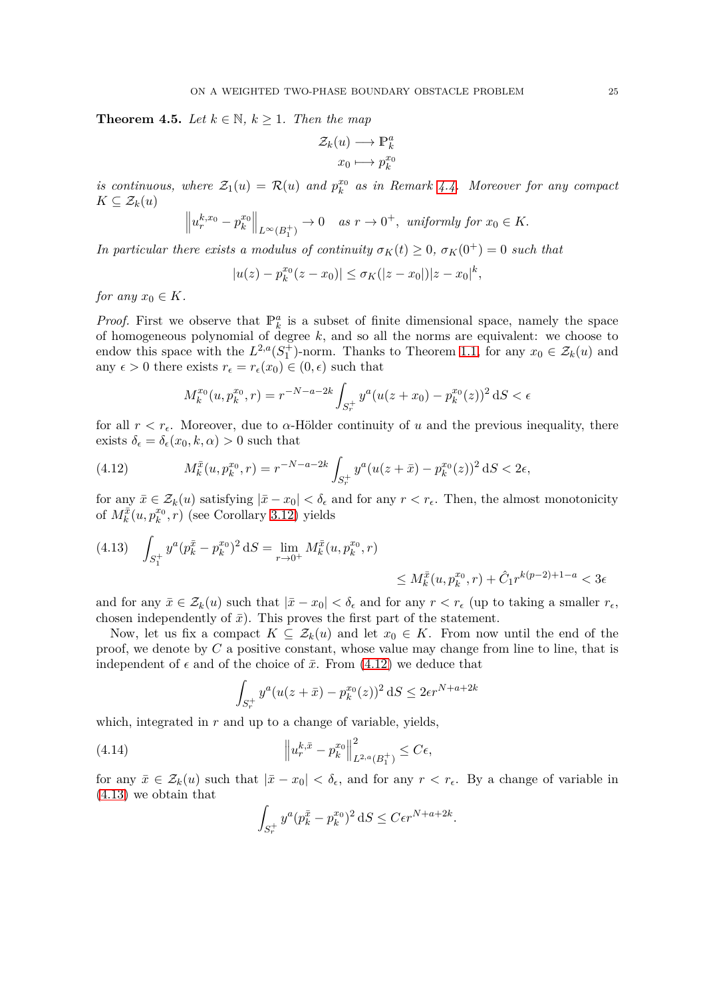<span id="page-24-3"></span>**Theorem 4.5.** *Let*  $k \in \mathbb{N}$ ,  $k \geq 1$ *. Then the map* 

$$
\mathcal{Z}_k(u) \longrightarrow \mathbb{P}_k^a
$$

$$
x_0 \longmapsto p_k^{x_0}
$$

*is continuous, where*  $\mathcal{Z}_1(u) = \mathcal{R}(u)$  *and*  $p_k^{x_0}$ *k as in Remark [4.4.](#page-23-1) Moreover for any compact*  $K \subseteq \mathcal{Z}_k(u)$ 

$$
\left\|u_r^{k,x_0}-p_k^{x_0}\right\|_{L^\infty(B_1^+)} \to 0 \quad as \ r \to 0^+, \ \ uniformly \ for \ x_0 \in K.
$$

*In particular there exists a modulus of continuity*  $\sigma_K(t) \geq 0$ ,  $\sigma_K(0^+) = 0$  such that

$$
|u(z) - p_k^{x_0}(z - x_0)| \le \sigma_K(|z - x_0|)|z - x_0|^k,
$$

*for any*  $x_0 \in K$ *.* 

*Proof.* First we observe that  $\mathbb{P}_k^a$  is a subset of finite dimensional space, namely the space of homogeneous polynomial of degree *k*, and so all the norms are equivalent: we choose to endow this space with the  $L^{2,a}(S_1^+)$ -norm. Thanks to Theorem [1.1,](#page-3-0) for any  $x_0 \in \mathcal{Z}_k(u)$  and any  $\epsilon > 0$  there exists  $r_{\epsilon} = r_{\epsilon}(x_0) \in (0, \epsilon)$  such that

<span id="page-24-0"></span>
$$
M_k^{x_0}(u, p_k^{x_0}, r) = r^{-N-a-2k} \int_{S_r^+} y^a (u(z+x_0) - p_k^{x_0}(z))^2 dS < \epsilon
$$

for all  $r < r<sub>e</sub>$ . Moreover, due to  $\alpha$ -Hölder continuity of *u* and the previous inequality, there exists  $\delta_{\epsilon} = \delta_{\epsilon}(x_0, k, \alpha) > 0$  such that

(4.12) 
$$
M_k^{\bar{x}}(u, p_k^{x_0}, r) = r^{-N-a-2k} \int_{S_r^+} y^a (u(z+\bar{x}) - p_k^{x_0}(z))^2 dS < 2\epsilon,
$$

for any  $\bar{x} \in \mathcal{Z}_k(u)$  satisfying  $|\bar{x} - x_0| < \delta_\epsilon$  and for any  $r < r_\epsilon$ . Then, the almost monotonicity of  $M_k^{\bar{x}}(u, p_k^{x_0})$  $\binom{x_0}{k}, r$  (see Corollary [3.12\)](#page-19-7) yields

<span id="page-24-1"></span>
$$
(4.13) \quad \int_{S_1^+} y^a (p_k^{\bar{x}} - p_k^{x_0})^2 \, \mathrm{d}S = \lim_{r \to 0^+} M_k^{\bar{x}}(u, p_k^{x_0}, r) \\ \leq M_k^{\bar{x}}(u, p_k^{x_0}, r) + \hat{C}_1 r^{k(p-2)+1-a} < 3\epsilon
$$

and for any  $\bar{x} \in \mathcal{Z}_k(u)$  such that  $|\bar{x} - x_0| < \delta_\epsilon$  and for any  $r < r_\epsilon$  (up to taking a smaller  $r_\epsilon$ ) chosen independently of  $\bar{x}$ ). This proves the first part of the statement.

Now, let us fix a compact  $K \subseteq \mathcal{Z}_k(u)$  and let  $x_0 \in K$ . From now until the end of the proof, we denote by *C* a positive constant, whose value may change from line to line, that is independent of  $\epsilon$  and of the choice of  $\bar{x}$ . From [\(4.12\)](#page-24-0) we deduce that

$$
\int_{S_r^+} y^a (u(z + \bar{x}) - p_k^{x_0}(z))^2 \, dS \le 2\epsilon r^{N + a + 2k}
$$

which, integrated in *r* and up to a change of variable, yields,

(4.14) 
$$
\left\|u_r^{k,\bar{x}} - p_k^{x_0}\right\|_{L^{2,a}(B_1^+)}^2 \leq C\epsilon,
$$

for any  $\bar{x} \in \mathcal{Z}_k(u)$  such that  $|\bar{x} - x_0| < \delta_\epsilon$ , and for any  $r < r_\epsilon$ . By a change of variable in [\(4.13\)](#page-24-1) we obtain that

<span id="page-24-2"></span>
$$
\int_{S_r^+} y^a (p_k^{\bar{x}} - p_k^{x_0})^2 \, \mathrm{d}S \le C \epsilon r^{N+a+2k}.
$$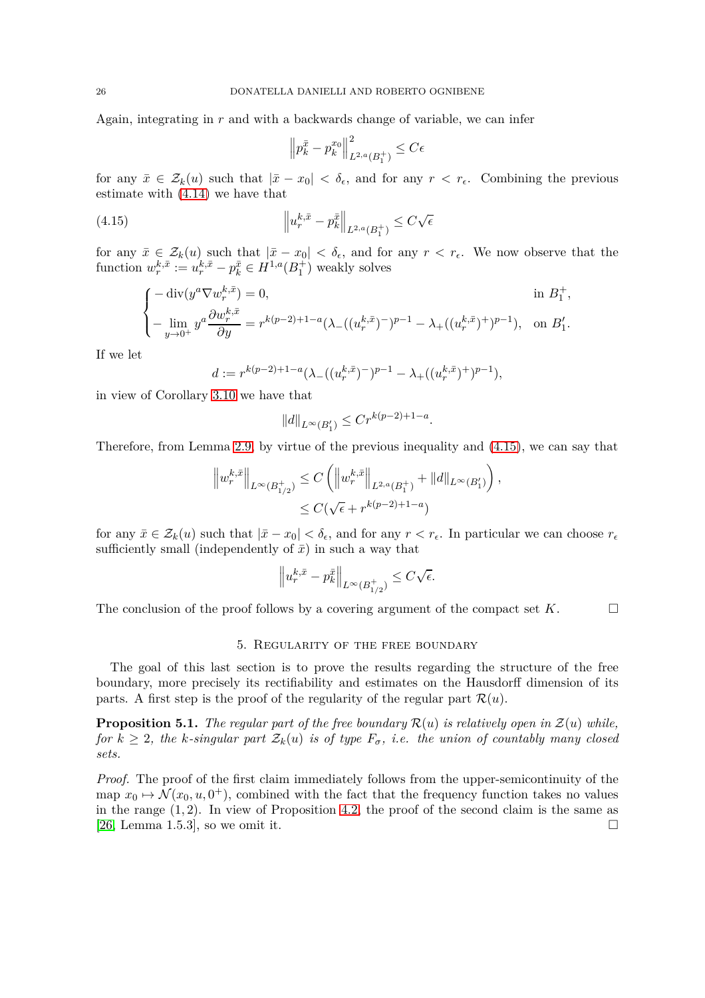Again, integrating in *r* and with a backwards change of variable, we can infer

<span id="page-25-1"></span>
$$
\left\|p_k^{\bar{x}} - p_k^{x_0}\right\|_{L^{2,a}(B_1^+)}^2 \leq C\epsilon
$$

for any  $\bar{x} \in \mathcal{Z}_k(u)$  such that  $|\bar{x} - x_0| < \delta_\epsilon$ , and for any  $r < r_\epsilon$ . Combining the previous estimate with [\(4.14\)](#page-24-2) we have that

(4.15) 
$$
\left\|u_r^{k,\bar{x}} - p_k^{\bar{x}}\right\|_{L^{2,a}(B_1^+)} \leq C\sqrt{\epsilon}
$$

for any  $\bar{x} \in \mathcal{Z}_k(u)$  such that  $|\bar{x} - x_0| < \delta_\epsilon$ , and for any  $r < r_\epsilon$ . We now observe that the function  $w_r^{k,\bar{x}} := u_r^{k,\bar{x}} - p_k^{\bar{x}} \in H^{1,a}(B_1^+)$  weakly solves

$$
\begin{cases}\n-\operatorname{div}(y^{a}\nabla w_{r}^{k,\bar{x}}) = 0, & \text{in } B_{1}^{+}, \\
-\lim_{y\to 0^{+}} y^{a} \frac{\partial w_{r}^{k,\bar{x}}}{\partial y} = r^{k(p-2)+1-a} (\lambda_{-}((u_{r}^{k,\bar{x}})^{-})^{p-1} - \lambda_{+}((u_{r}^{k,\bar{x}})^{+})^{p-1}), & \text{on } B_{1}'.\n\end{cases}
$$

If we let

$$
d:=r^{k(p-2)+1-a}(\lambda_{-}((u^{k,\bar{x}}_r)^-)^{p-1}-\lambda_{+}((u^{k,\bar{x}}_r)^+)^{p-1}),
$$

in view of Corollary [3.10](#page-16-0) we have that

$$
||d||_{L^{\infty}(B_1')} \leq Cr^{k(p-2)+1-a}.
$$

Therefore, from Lemma [2.9,](#page-9-0) by virtue of the previous inequality and [\(4.15\)](#page-25-1), we can say that

$$
\|w_r^{k,\bar{x}}\|_{L^{\infty}(B_{1/2}^+)} \leq C \left( \|w_r^{k,\bar{x}}\|_{L^{2,a}(B_1^+)} + \|d\|_{L^{\infty}(B_1')}\right),
$$
  

$$
\leq C(\sqrt{\epsilon} + r^{k(p-2)+1-a})
$$

for any  $\bar{x} \in \mathcal{Z}_k(u)$  such that  $|\bar{x} - x_0| < \delta_\epsilon$ , and for any  $r < r_\epsilon$ . In particular we can choose  $r_\epsilon$ sufficiently small (independently of  $\bar{x}$ ) in such a way that

$$
\left\|u_r^{k,\bar{x}} - p_k^{\bar{x}}\right\|_{L^\infty(B_{1/2}^+)} \leq C\sqrt{\epsilon}.
$$

<span id="page-25-0"></span>The conclusion of the proof follows by a covering argument of the compact set  $K$ .

#### 5. Regularity of the free boundary

The goal of this last section is to prove the results regarding the structure of the free boundary, more precisely its rectifiability and estimates on the Hausdorff dimension of its parts. A first step is the proof of the regularity of the regular part  $\mathcal{R}(u)$ .

<span id="page-25-2"></span>**Proposition 5.1.** *The regular part of the free boundary*  $\mathcal{R}(u)$  *is relatively open in*  $\mathcal{Z}(u)$  *while, for*  $k \geq 2$ *, the k-singular part*  $\mathcal{Z}_k(u)$  *is of type*  $F_{\sigma}$ *, i.e. the union of countably many closed sets.*

*Proof.* The proof of the first claim immediately follows from the upper-semicontinuity of the map  $x_0 \mapsto \mathcal{N}(x_0, u, 0^+)$ , combined with the fact that the frequency function takes no values in the range (1*,* 2). In view of Proposition [4.2,](#page-21-4) the proof of the second claim is the same as [\[26,](#page-29-10) Lemma 1.5.3], so we omit it.  $\square$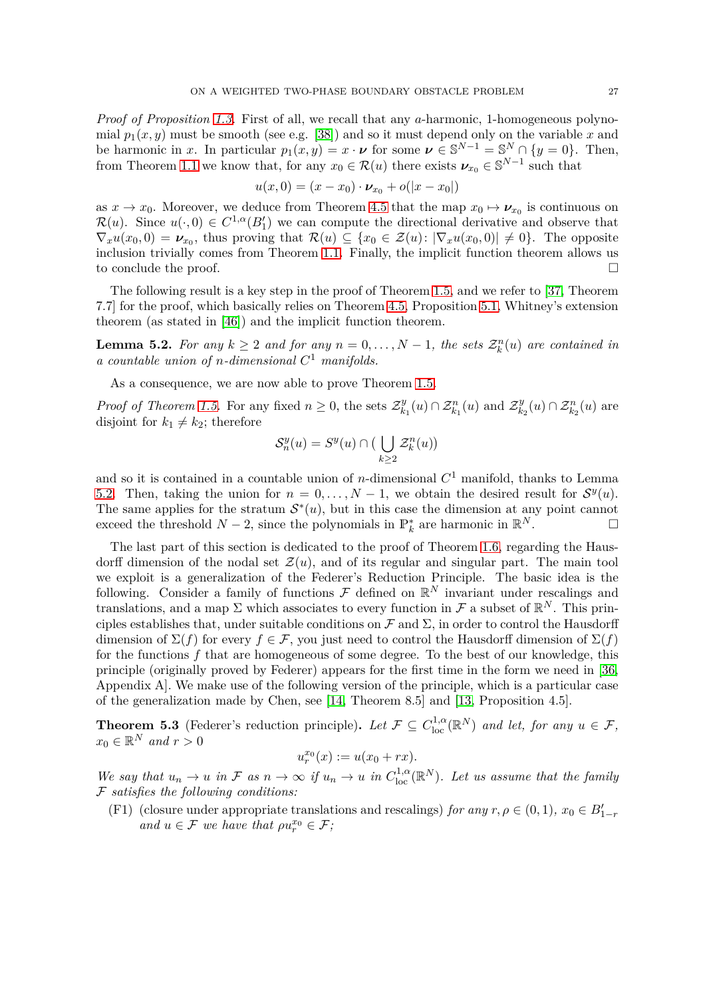*Proof of Proposition [1.3.](#page-4-0)* First of all, we recall that any *a*-harmonic, 1-homogeneous polynomial  $p_1(x, y)$  must be smooth (see e.g. [\[38\]](#page-30-5)) and so it must depend only on the variable x and be harmonic in *x*. In particular  $p_1(x, y) = x \cdot \nu$  for some  $\nu \in \mathbb{S}^{N-1} = \mathbb{S}^N \cap \{y = 0\}$ . Then,

from Theorem 1.1 we know that, for any 
$$
x_0 \in \mathcal{R}(u)
$$
 there exists  $\nu_{x_0} \in \mathbb{S}^{N-1}$  such that

$$
u(x,0) = (x - x_0) \cdot \nu_{x_0} + o(|x - x_0|)
$$

as  $x \to x_0$ . Moreover, we deduce from Theorem [4.5](#page-24-3) that the map  $x_0 \mapsto \nu_{x_0}$  is continuous on  $\mathcal{R}(u)$ . Since  $u(\cdot,0) \in C^{1,\alpha}(B_1')$  we can compute the directional derivative and observe that  $\nabla_x u(x_0,0) = \nu_{x_0}$ , thus proving that  $\mathcal{R}(u) \subseteq \{x_0 \in \mathcal{Z}(u): |\nabla_x u(x_0,0)| \neq 0\}$ . The opposite inclusion trivially comes from Theorem [1.1.](#page-3-0) Finally, the implicit function theorem allows us to conclude the proof.

The following result is a key step in the proof of Theorem [1.5,](#page-5-0) and we refer to [\[37,](#page-30-1) Theorem 7.7] for the proof, which basically relies on Theorem [4.5,](#page-24-3) Proposition [5.1,](#page-25-2) Whitney's extension theorem (as stated in [\[46\]](#page-30-12)) and the implicit function theorem.

<span id="page-26-0"></span>**Lemma 5.2.** For any  $k \geq 2$  and for any  $n = 0, \ldots, N - 1$ , the sets  $\mathcal{Z}_k^n(u)$  are contained in *a countable union of n-dimensional C* <sup>1</sup> *manifolds.*

As a consequence, we are now able to prove Theorem [1.5.](#page-5-0)

*Proof of Theorem [1.5.](#page-5-0)* For any fixed  $n \geq 0$ , the sets  $\mathcal{Z}_k^y$  $\mathcal{Z}_{k_1}^y(u) \cap \mathcal{Z}_{k_1}^n(u)$  and  $\mathcal{Z}_{k_2}^y$  $\mathcal{Z}_{k_2}^y(u) \cap \mathcal{Z}_{k_2}^n(u)$  are disjoint for  $k_1 \neq k_2$ ; therefore

$$
\mathcal{S}_n^y(u) = S^y(u) \cap \big( \bigcup_{k \ge 2} \mathcal{Z}_k^n(u) \big)
$$

and so it is contained in a countable union of *n*-dimensional *C* <sup>1</sup> manifold, thanks to Lemma [5.2.](#page-26-0) Then, taking the union for  $n = 0, \ldots, N - 1$ , we obtain the desired result for  $S^y(u)$ . The same applies for the stratum  $S^*(u)$ , but in this case the dimension at any point cannot exceed the threshold *N* − 2, since the polynomials in  $\mathbb{P}_k^*$  are harmonic in  $\mathbb{R}^N$ .  $\Box$ 

The last part of this section is dedicated to the proof of Theorem [1.6,](#page-5-1) regarding the Hausdorff dimension of the nodal set  $\mathcal{Z}(u)$ , and of its regular and singular part. The main tool we exploit is a generalization of the Federer's Reduction Principle. The basic idea is the following. Consider a family of functions  $\mathcal F$  defined on  $\mathbb R^N$  invariant under rescalings and translations, and a map  $\Sigma$  which associates to every function in  $\mathcal F$  a subset of  $\mathbb R^N$ . This principles establishes that, under suitable conditions on  $\mathcal F$  and  $\Sigma$ , in order to control the Hausdorff dimension of  $\Sigma(f)$  for every  $f \in \mathcal{F}$ , you just need to control the Hausdorff dimension of  $\Sigma(f)$ for the functions *f* that are homogeneous of some degree. To the best of our knowledge, this principle (originally proved by Federer) appears for the first time in the form we need in [\[36,](#page-30-13) Appendix A]. We make use of the following version of the principle, which is a particular case of the generalization made by Chen, see [\[14,](#page-29-24) Theorem 8.5] and [\[13,](#page-29-25) Proposition 4.5].

<span id="page-26-1"></span>**Theorem 5.3** (Federer's reduction principle). Let  $\mathcal{F} \subseteq C^{1,\alpha}_{loc}(\mathbb{R}^N)$  and let, for any  $u \in \mathcal{F}$ ,  $x_0 \in \mathbb{R}^N$  *and*  $r > 0$ 

$$
u_r^{x_0}(x) := u(x_0 + rx).
$$

*We say that*  $u_n \to u$  *in*  $\mathcal F$  *as*  $n \to \infty$  *if*  $u_n \to u$  *in*  $C^{1,\alpha}_{loc}(\mathbb R^N)$ *. Let us assume that the family* F *satisfies the following conditions:*

(F1) (closure under appropriate translations and rescalings) *for any*  $r, \rho \in (0, 1)$ *,*  $x_0 \in B'_{1-r}$ *and*  $u \in \mathcal{F}$  *we have that*  $\rho u_r^{x_0} \in \mathcal{F}$ ;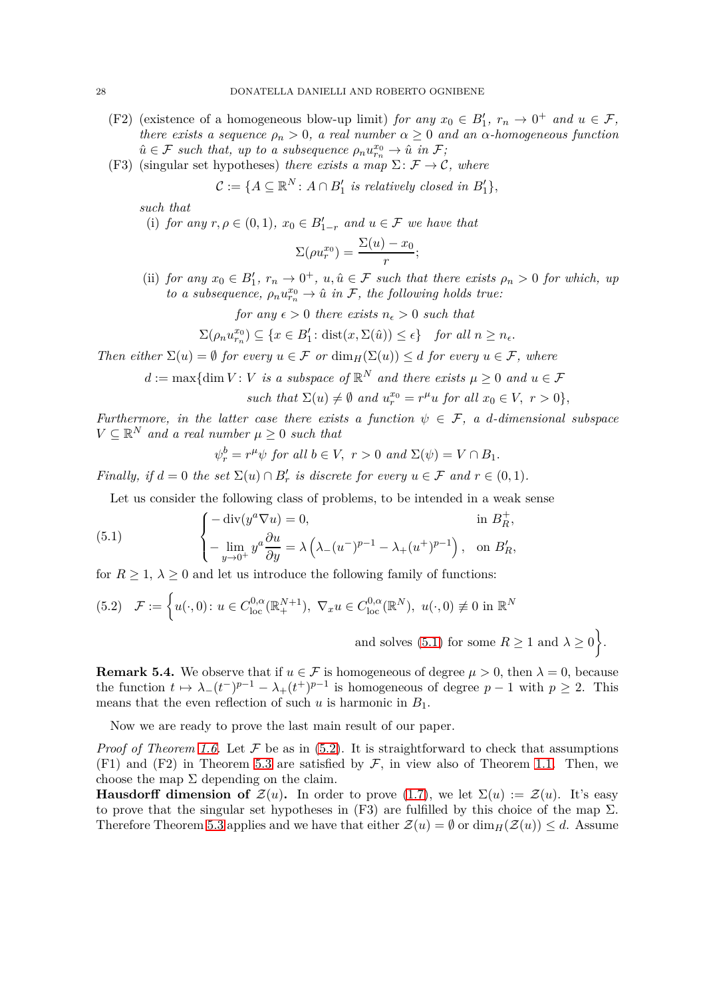- (F2) (existence of a homogeneous blow-up limit) *for any*  $x_0 \in B'_1$ ,  $r_n \to 0^+$  *and*  $u \in \mathcal{F}$ , *there exists a sequence*  $\rho_n > 0$ , *a real number*  $\alpha \geq 0$  *and an*  $\alpha$ -*homogeneous function*  $\hat{u} \in \mathcal{F}$  *such that, up to a subsequence*  $\rho_n u_{r_n}^{x_0} \to \hat{u}$  in  $\mathcal{F}$ ;
- (F3) (singular set hypotheses) *there exists a map*  $\Sigma: \mathcal{F} \to \mathcal{C}$ *, where*

 $\mathcal{C} := \{A \subseteq \mathbb{R}^N : A \cap B'_1 \text{ is relatively closed in } B'_1\},\$ 

*such that*

(i) *for any*  $r, \rho \in (0,1)$ *,*  $x_0 \in B'_{1-r}$  *and*  $u \in \mathcal{F}$  *we have that* 

$$
\Sigma(\rho u_r^{x_0}) = \frac{\Sigma(u) - x_0}{r};
$$

(ii) *for any*  $x_0 \in B'_1$ ,  $r_n \to 0^+$ ,  $u, \hat{u} \in \mathcal{F}$  *such that there exists*  $\rho_n > 0$  *for which, up to a subsequence,*  $\rho_n u_{r_n}^{x_0} \to \hat{u}$  *in*  $\mathcal{F}$ *, the following holds true:* 

*for any*  $\epsilon > 0$  *there exists*  $n_{\epsilon} > 0$  *such that* 

$$
\Sigma(\rho_n u_{r_n}^{x_0}) \subseteq \{x \in B'_1 \colon \text{dist}(x, \Sigma(\hat{u})) \le \epsilon\} \quad \text{for all } n \ge n_{\epsilon}.
$$

*Then either*  $\Sigma(u) = \emptyset$  *for every*  $u \in \mathcal{F}$  *or* dim<sub>*H*</sub>( $\Sigma(u)$ )  $\leq d$  *for every*  $u \in \mathcal{F}$ *, where* 

 $d := \max\{\dim V : V \text{ is a subspace of } \mathbb{R}^N \text{ and there exists } \mu \geq 0 \text{ and } u \in \mathcal{F}\}$ 

such that 
$$
\Sigma(u) \neq \emptyset
$$
 and  $u_r^{x_0} = r^{\mu}u$  for all  $x_0 \in V$ ,  $r > 0$ ,

*Furthermore, in the latter case there exists a function*  $\psi \in \mathcal{F}$ , a *d*-dimensional subspace  $V \subseteq \mathbb{R}^N$  *and a real number*  $\mu \geq 0$  *such that* 

<span id="page-27-0"></span>
$$
\psi_r^b = r^{\mu} \psi \text{ for all } b \in V, r > 0 \text{ and } \Sigma(\psi) = V \cap B_1.
$$

*Finally, if*  $d = 0$  *the set*  $\Sigma(u) \cap B'_r$  *is discrete for every*  $u \in \mathcal{F}$  *and*  $r \in (0,1)$ *.* 

Let us consider the following class of problems, to be intended in a weak sense

(5.1) 
$$
\begin{cases}\n-\operatorname{div}(y^{a}\nabla u) = 0, & \text{in } B_R^+, \\
-\lim_{y \to 0^+} y^{a} \frac{\partial u}{\partial y} = \lambda \left(\lambda_{-}(u^{-})^{p-1} - \lambda_{+}(u^{+})^{p-1}\right), & \text{on } B_R',\n\end{cases}
$$

for  $R \geq 1$ ,  $\lambda \geq 0$  and let us introduce the following family of functions:

<span id="page-27-1"></span>
$$
(5.2) \quad \mathcal{F} := \left\{ u(\cdot, 0) \colon u \in C_{\text{loc}}^{0,\alpha}(\mathbb{R}^{N+1}_+), \ \nabla_x u \in C_{\text{loc}}^{0,\alpha}(\mathbb{R}^N), \ u(\cdot,0) \not\equiv 0 \text{ in } \mathbb{R}^N \right\}
$$

and solves [\(5.1\)](#page-27-0) for some  $R \geq 1$  and  $\lambda \geq 0$ .

<span id="page-27-2"></span>**Remark 5.4.** We observe that if  $u \in \mathcal{F}$  is homogeneous of degree  $\mu > 0$ , then  $\lambda = 0$ , because the function  $t \mapsto \lambda_-(t^-)^{p-1} - \lambda_+(t^+)^{p-1}$  is homogeneous of degree  $p-1$  with  $p \ge 2$ . This means that the even reflection of such  $u$  is harmonic in  $B_1$ .

Now we are ready to prove the last main result of our paper.

*Proof of Theorem [1.6.](#page-5-1)* Let  $\mathcal F$  be as in [\(5.2\)](#page-27-1). It is straightforward to check that assumptions  $(F1)$  and  $(F2)$  in Theorem [5.3](#page-26-1) are satisfied by  $F$ , in view also of Theorem [1.1.](#page-3-0) Then, we choose the map  $\Sigma$  depending on the claim.

**Hausdorff dimension of**  $\mathcal{Z}(u)$ **.** In order to prove [\(1.7\)](#page-5-2), we let  $\Sigma(u) := \mathcal{Z}(u)$ . It's easy to prove that the singular set hypotheses in (F3) are fulfilled by this choice of the map  $\Sigma$ . Therefore Theorem [5.3](#page-26-1) applies and we have that either  $\mathcal{Z}(u) = \emptyset$  or  $\dim_H(\mathcal{Z}(u)) \leq d$ . Assume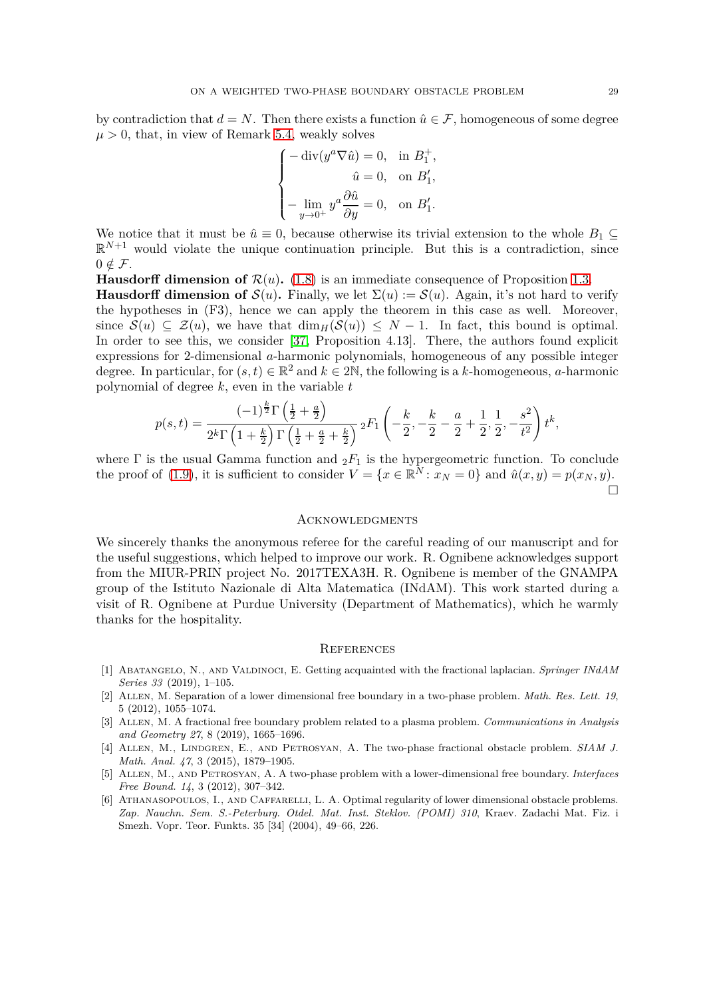by contradiction that  $d = N$ . Then there exists a function  $\hat{u} \in \mathcal{F}$ , homogeneous of some degree  $\mu > 0$ , that, in view of Remark [5.4,](#page-27-2) weakly solves

$$
\label{eq:2.1} \begin{cases} -\operatorname{div}(y^a \nabla \hat{u})=0, & \text{in} \ B_1^+, \\ \qquad \hat{u}=0, & \text{on} \ B_1', \\ \\ -\lim_{y\to 0^+} y^a \frac{\partial \hat{u}}{\partial y}=0, & \text{on} \ B_1'. \end{cases}
$$

We notice that it must be  $\hat{u} \equiv 0$ , because otherwise its trivial extension to the whole  $B_1 \subseteq$  $\mathbb{R}^{N+1}$  would violate the unique continuation principle. But this is a contradiction, since  $0 \notin \mathcal{F}$ .

**Hausdorff dimension of**  $\mathcal{R}(u)$ **.** [\(1.8\)](#page-5-3) is an immediate consequence of Proposition [1.3.](#page-4-0) **Hausdorff dimension of**  $S(u)$ . Finally, we let  $\Sigma(u) := S(u)$ . Again, it's not hard to verify the hypotheses in (F3), hence we can apply the theorem in this case as well. Moreover, since  $S(u) \subseteq \mathcal{Z}(u)$ , we have that  $\dim_H(S(u)) \leq N-1$ . In fact, this bound is optimal. In order to see this, we consider [\[37,](#page-30-1) Proposition 4.13]. There, the authors found explicit expressions for 2-dimensional *a*-harmonic polynomials, homogeneous of any possible integer degree. In particular, for  $(s, t) \in \mathbb{R}^2$  and  $k \in 2\mathbb{N}$ , the following is a *k*-homogeneous, *a*-harmonic polynomial of degree *k*, even in the variable *t*

$$
p(s,t) = \frac{(-1)^{\frac{k}{2}} \Gamma\left(\frac{1}{2} + \frac{a}{2}\right)}{2^k \Gamma\left(1 + \frac{k}{2}\right) \Gamma\left(\frac{1}{2} + \frac{a}{2} + \frac{k}{2}\right)} \, {}_2F_1\left(-\frac{k}{2}, -\frac{k}{2} - \frac{a}{2} + \frac{1}{2}, \frac{1}{2}, -\frac{s^2}{t^2}\right) t^k,
$$

where  $\Gamma$  is the usual Gamma function and  ${}_2F_1$  is the hypergeometric function. To conclude the proof of [\(1.9\)](#page-5-4), it is sufficient to consider  $V = \{x \in \mathbb{R}^N : x_N = 0\}$  and  $\hat{u}(x, y) = p(x_N, y)$ .  $\Box$ 

#### **ACKNOWLEDGMENTS**

We sincerely thanks the anonymous referee for the careful reading of our manuscript and for the useful suggestions, which helped to improve our work. R. Ognibene acknowledges support from the MIUR-PRIN project No. 2017TEXA3H. R. Ognibene is member of the GNAMPA group of the Istituto Nazionale di Alta Matematica (INdAM). This work started during a visit of R. Ognibene at Purdue University (Department of Mathematics), which he warmly thanks for the hospitality.

## **REFERENCES**

- <span id="page-28-0"></span>[1] Abatangelo, N., and Valdinoci, E. Getting acquainted with the fractional laplacian. *Springer INdAM Series 33* (2019), 1–105.
- <span id="page-28-2"></span>[2] Allen, M. Separation of a lower dimensional free boundary in a two-phase problem. *Math. Res. Lett. 19*, 5 (2012), 1055–1074.
- <span id="page-28-4"></span>[3] Allen, M. A fractional free boundary problem related to a plasma problem. *Communications in Analysis and Geometry 27*, 8 (2019), 1665–1696.
- <span id="page-28-3"></span>[4] Allen, M., Lindgren, E., and Petrosyan, A. The two-phase fractional obstacle problem. *SIAM J. Math. Anal. 47*, 3 (2015), 1879–1905.
- <span id="page-28-1"></span>[5] Allen, M., and Petrosyan, A. A two-phase problem with a lower-dimensional free boundary. *Interfaces Free Bound. 14*, 3 (2012), 307–342.
- <span id="page-28-5"></span>[6] Athanasopoulos, I., and Caffarelli, L. A. Optimal regularity of lower dimensional obstacle problems. *Zap. Nauchn. Sem. S.-Peterburg. Otdel. Mat. Inst. Steklov. (POMI) 310*, Kraev. Zadachi Mat. Fiz. i Smezh. Vopr. Teor. Funkts. 35 [34] (2004), 49–66, 226.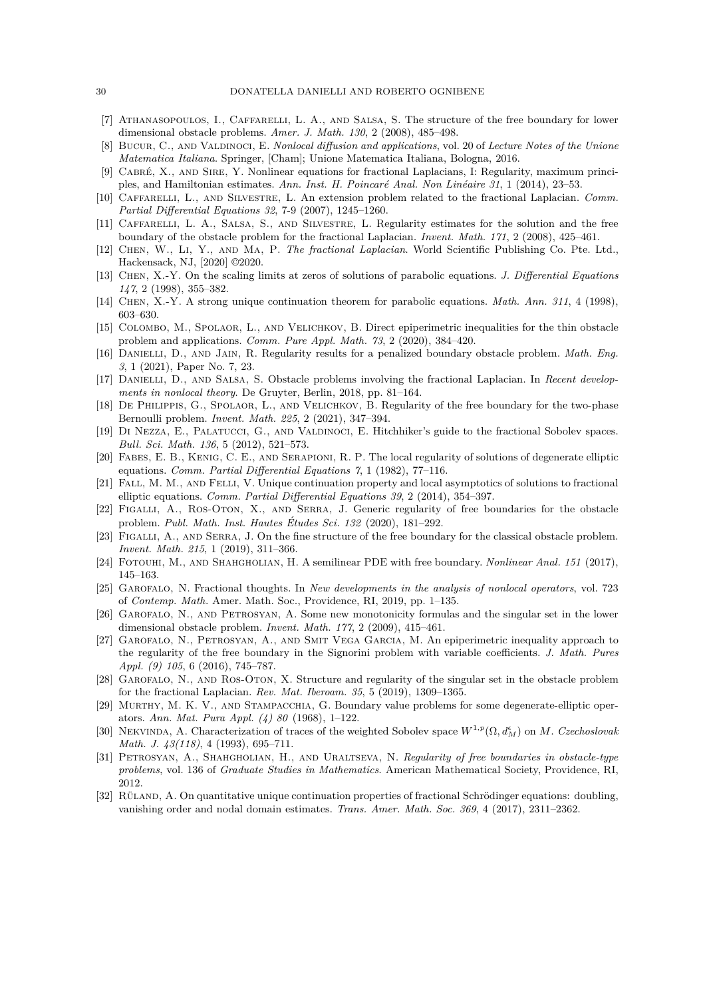- <span id="page-29-8"></span><span id="page-29-3"></span>[7] Athanasopoulos, I., Caffarelli, L. A., and Salsa, S. The structure of the free boundary for lower dimensional obstacle problems. *Amer. J. Math. 130*, 2 (2008), 485–498.
- <span id="page-29-21"></span>[8] Bucur, C., and Valdinoci, E. *Nonlocal diffusion and applications*, vol. 20 of *Lecture Notes of the Unione Matematica Italiana*. Springer, [Cham]; Unione Matematica Italiana, Bologna, 2016.
- [9] Cabr´e, X., and Sire, Y. Nonlinear equations for fractional Laplacians, I: Regularity, maximum principles, and Hamiltonian estimates. *Ann. Inst. H. Poincar´e Anal. Non Lin´eaire 31*, 1 (2014), 23–53.
- <span id="page-29-0"></span>[10] Caffarelli, L., and Silvestre, L. An extension problem related to the fractional Laplacian. *Comm. Partial Differential Equations 32*, 7-9 (2007), 1245–1260.
- <span id="page-29-9"></span>[11] CAFFARELLI, L. A., SALSA, S., AND SILVESTRE, L. Regularity estimates for the solution and the free boundary of the obstacle problem for the fractional Laplacian. *Invent. Math. 171*, 2 (2008), 425–461.
- <span id="page-29-25"></span><span id="page-29-4"></span>[12] Chen, W., Li, Y., and Ma, P. *The fractional Laplacian*. World Scientific Publishing Co. Pte. Ltd., Hackensack, NJ, [2020] ©2020.
- <span id="page-29-24"></span>[13] Chen, X.-Y. On the scaling limits at zeros of solutions of parabolic equations. *J. Differential Equations 147*, 2 (1998), 355–382.
- <span id="page-29-16"></span>[14] Chen, X.-Y. A strong unique continuation theorem for parabolic equations. *Math. Ann. 311*, 4 (1998), 603–630.
- <span id="page-29-5"></span>[15] COLOMBO, M., SPOLAOR, L., AND VELICHKOV, B. Direct epiperimetric inequalities for the thin obstacle problem and applications. *Comm. Pure Appl. Math. 73*, 2 (2020), 384–420.
- [16] Danielli, D., and Jain, R. Regularity results for a penalized boundary obstacle problem. *Math. Eng. 3*, 1 (2021), Paper No. 7, 23.
- <span id="page-29-6"></span>[17] DANIELLI, D., AND SALSA, S. Obstacle problems involving the fractional Laplacian. In *Recent developments in nonlocal theory*. De Gruyter, Berlin, 2018, pp. 81–164.
- <span id="page-29-18"></span>[18] De Philippis, G., Spolaor, L., and Velichkov, B. Regularity of the free boundary for the two-phase Bernoulli problem. *Invent. Math. 225*, 2 (2021), 347–394.
- <span id="page-29-1"></span>[19] Di Nezza, E., Palatucci, G., and Valdinoci, E. Hitchhiker's guide to the fractional Sobolev spaces. *Bull. Sci. Math. 136*, 5 (2012), 521–573.
- <span id="page-29-12"></span>[20] Fabes, E. B., Kenig, C. E., and Serapioni, R. P. The local regularity of solutions of degenerate elliptic equations. *Comm. Partial Differential Equations 7*, 1 (1982), 77–116.
- <span id="page-29-22"></span>[21] FALL, M. M., AND FELLI, V. Unique continuation property and local asymptotics of solutions to fractional elliptic equations. *Comm. Partial Differential Equations 39*, 2 (2014), 354–397.
- <span id="page-29-17"></span>[22] Figalli, A., Ros-Oton, X., and Serra, J. Generic regularity of free boundaries for the obstacle problem. *Publ. Math. Inst. Hautes Etudes Sci. 132 ´* (2020), 181–292.
- <span id="page-29-19"></span>[23] FIGALLI, A., AND SERRA, J. On the fine structure of the free boundary for the classical obstacle problem. *Invent. Math. 215*, 1 (2019), 311–366.
- <span id="page-29-14"></span><span id="page-29-2"></span>[24] Fotouhi, M., and Shahgholian, H. A semilinear PDE with free boundary. *Nonlinear Anal. 151* (2017), 145–163.
- [25] Garofalo, N. Fractional thoughts. In *New developments in the analysis of nonlocal operators*, vol. 723 of *Contemp. Math.* Amer. Math. Soc., Providence, RI, 2019, pp. 1–135.
- <span id="page-29-10"></span>[26] Garofalo, N., and Petrosyan, A. Some new monotonicity formulas and the singular set in the lower dimensional obstacle problem. *Invent. Math. 177*, 2 (2009), 415–461.
- <span id="page-29-15"></span>[27] Garofalo, N., Petrosyan, A., and Smit Vega Garcia, M. An epiperimetric inequality approach to the regularity of the free boundary in the Signorini problem with variable coefficients. *J. Math. Pures Appl. (9) 105*, 6 (2016), 745–787.
- <span id="page-29-11"></span>[28] Garofalo, N., and Ros-Oton, X. Structure and regularity of the singular set in the obstacle problem for the fractional Laplacian. *Rev. Mat. Iberoam. 35*, 5 (2019), 1309–1365.
- <span id="page-29-13"></span>[29] MURTHY, M. K. V., AND STAMPACCHIA, G. Boundary value problems for some degenerate-elliptic operators. *Ann. Mat. Pura Appl. (4) 80* (1968), 1–122.
- <span id="page-29-23"></span>[30] NEKVINDA, A. Characterization of traces of the weighted Sobolev space  $W^{1,p}(\Omega, d_M^{\epsilon})$  on M. *Czechoslovak Math. J. 43(118)*, 4 (1993), 695–711.
- <span id="page-29-7"></span>[31] Petrosyan, A., Shahgholian, H., and Uraltseva, N. *Regularity of free boundaries in obstacle-type problems*, vol. 136 of *Graduate Studies in Mathematics*. American Mathematical Society, Providence, RI, 2012.
- <span id="page-29-20"></span>[32] RÜLAND, A. On quantitative unique continuation properties of fractional Schrödinger equations: doubling, vanishing order and nodal domain estimates. *Trans. Amer. Math. Soc. 369*, 4 (2017), 2311–2362.